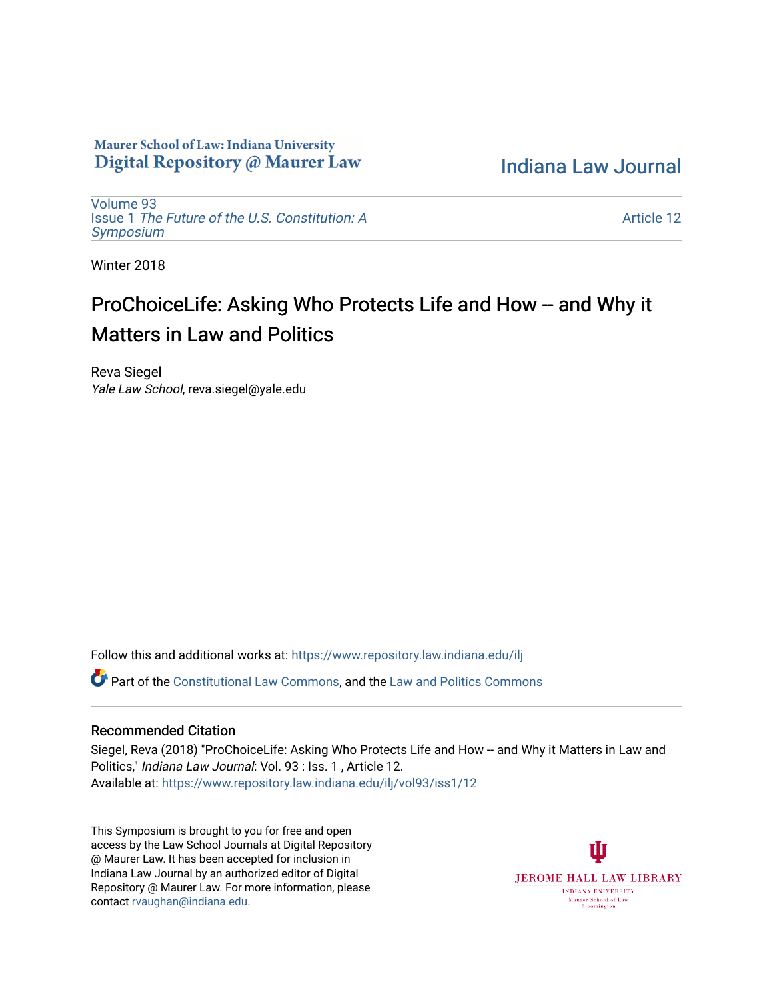## Maurer School of Law: Indiana University Digital Repository @ Maurer Law

[Indiana Law Journal](https://www.repository.law.indiana.edu/ilj) 

[Volume 93](https://www.repository.law.indiana.edu/ilj/vol93) Issue 1 [The Future of the U.S. Constitution: A](https://www.repository.law.indiana.edu/ilj/vol93/iss1) [Symposium](https://www.repository.law.indiana.edu/ilj/vol93/iss1) 

[Article 12](https://www.repository.law.indiana.edu/ilj/vol93/iss1/12) 

Winter 2018

# ProChoiceLife: Asking Who Protects Life and How -- and Why it Matters in Law and Politics

Reva Siegel Yale Law School, reva.siegel@yale.edu

Follow this and additional works at: [https://www.repository.law.indiana.edu/ilj](https://www.repository.law.indiana.edu/ilj?utm_source=www.repository.law.indiana.edu%2Filj%2Fvol93%2Fiss1%2F12&utm_medium=PDF&utm_campaign=PDFCoverPages) 

**P** Part of the [Constitutional Law Commons,](http://network.bepress.com/hgg/discipline/589?utm_source=www.repository.law.indiana.edu%2Filj%2Fvol93%2Fiss1%2F12&utm_medium=PDF&utm_campaign=PDFCoverPages) and the [Law and Politics Commons](http://network.bepress.com/hgg/discipline/867?utm_source=www.repository.law.indiana.edu%2Filj%2Fvol93%2Fiss1%2F12&utm_medium=PDF&utm_campaign=PDFCoverPages)

## Recommended Citation

Siegel, Reva (2018) "ProChoiceLife: Asking Who Protects Life and How -- and Why it Matters in Law and Politics," *Indiana Law Journal: Vol. 93 : Iss. 1, Article 12.* Available at: [https://www.repository.law.indiana.edu/ilj/vol93/iss1/12](https://www.repository.law.indiana.edu/ilj/vol93/iss1/12?utm_source=www.repository.law.indiana.edu%2Filj%2Fvol93%2Fiss1%2F12&utm_medium=PDF&utm_campaign=PDFCoverPages)

This Symposium is brought to you for free and open access by the Law School Journals at Digital Repository @ Maurer Law. It has been accepted for inclusion in Indiana Law Journal by an authorized editor of Digital Repository @ Maurer Law. For more information, please contact [rvaughan@indiana.edu](mailto:rvaughan@indiana.edu).

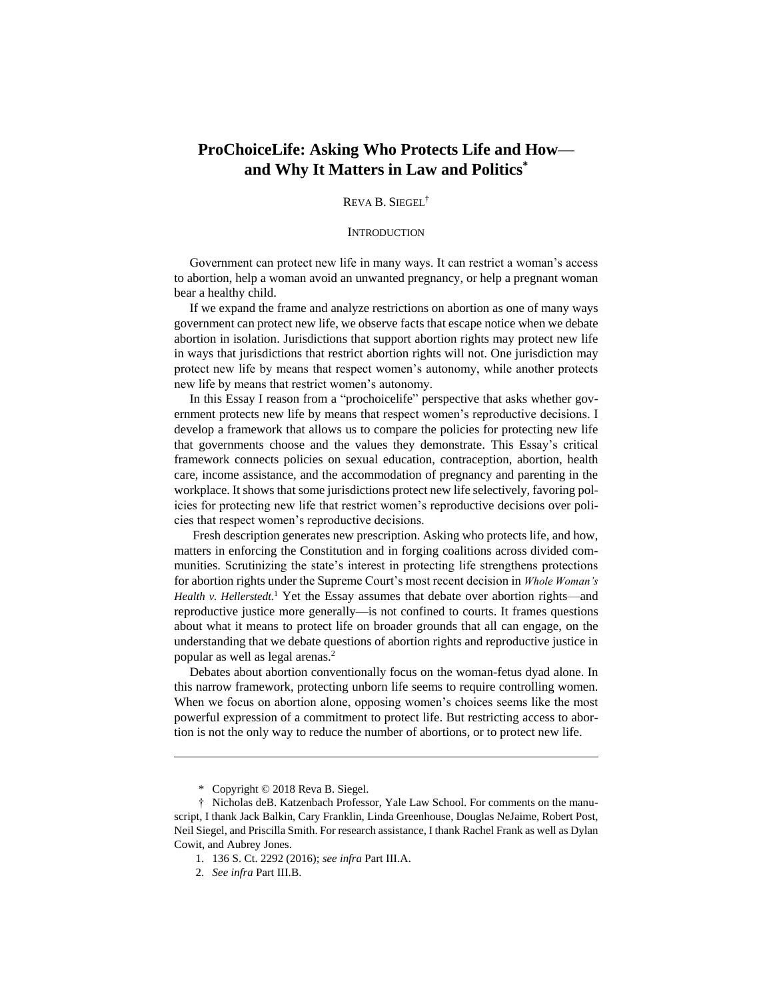# **ProChoiceLife: Asking Who Protects Life and How and Why It Matters in Law and Politics\***

REVA B. SIEGEL†

#### **INTRODUCTION**

Government can protect new life in many ways. It can restrict a woman's access to abortion, help a woman avoid an unwanted pregnancy, or help a pregnant woman bear a healthy child.

If we expand the frame and analyze restrictions on abortion as one of many ways government can protect new life, we observe facts that escape notice when we debate abortion in isolation. Jurisdictions that support abortion rights may protect new life in ways that jurisdictions that restrict abortion rights will not. One jurisdiction may protect new life by means that respect women's autonomy, while another protects new life by means that restrict women's autonomy.

In this Essay I reason from a "prochoicelife" perspective that asks whether government protects new life by means that respect women's reproductive decisions. I develop a framework that allows us to compare the policies for protecting new life that governments choose and the values they demonstrate. This Essay's critical framework connects policies on sexual education, contraception, abortion, health care, income assistance, and the accommodation of pregnancy and parenting in the workplace. It shows that some jurisdictions protect new life selectively, favoring policies for protecting new life that restrict women's reproductive decisions over policies that respect women's reproductive decisions.

Fresh description generates new prescription. Asking who protects life, and how, matters in enforcing the Constitution and in forging coalitions across divided communities. Scrutinizing the state's interest in protecting life strengthens protections for abortion rights under the Supreme Court's most recent decision in *Whole Woman's*  Health v. Hellerstedt.<sup>1</sup> Yet the Essay assumes that debate over abortion rights—and reproductive justice more generally—is not confined to courts. It frames questions about what it means to protect life on broader grounds that all can engage, on the understanding that we debate questions of abortion rights and reproductive justice in popular as well as legal arenas. 2

Debates about abortion conventionally focus on the woman-fetus dyad alone. In this narrow framework, protecting unborn life seems to require controlling women. When we focus on abortion alone, opposing women's choices seems like the most powerful expression of a commitment to protect life. But restricting access to abortion is not the only way to reduce the number of abortions, or to protect new life.

<sup>\*</sup> Copyright © 2018 Reva B. Siegel.

<sup>†</sup> Nicholas deB. Katzenbach Professor, Yale Law School. For comments on the manuscript, I thank Jack Balkin, Cary Franklin, Linda Greenhouse, Douglas NeJaime, Robert Post, Neil Siegel, and Priscilla Smith. For research assistance, I thank Rachel Frank as well as Dylan Cowit, and Aubrey Jones.

<sup>1.</sup> 136 S. Ct. 2292 (2016); *see infra* Part III.A.

<sup>2.</sup> *See infra* Part III.B.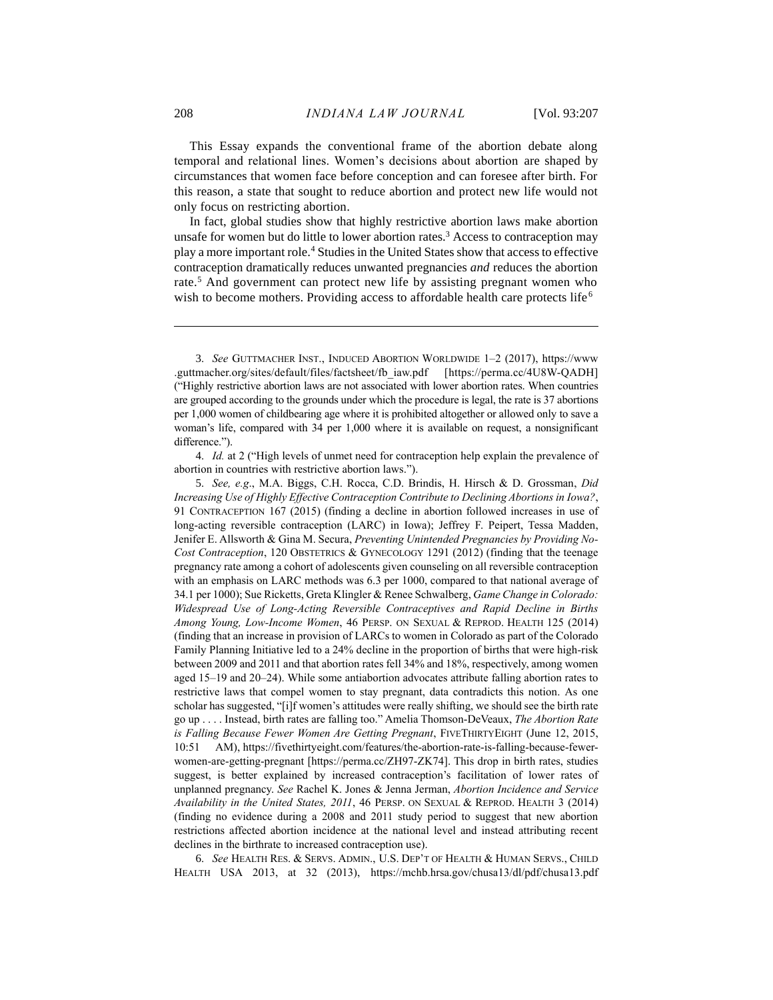This Essay expands the conventional frame of the abortion debate along temporal and relational lines. Women's decisions about abortion are shaped by circumstances that women face before conception and can foresee after birth. For this reason, a state that sought to reduce abortion and protect new life would not only focus on restricting abortion.

<span id="page-2-2"></span><span id="page-2-1"></span><span id="page-2-0"></span>In fact, global studies show that highly restrictive abortion laws make abortion unsafe for women but do little to lower abortion rates.<sup>3</sup> Access to contraception may play a more important role.<sup>4</sup> Studies in the United States show that access to effective contraception dramatically reduces unwanted pregnancies *and* reduces the abortion rate.<sup>5</sup> And government can protect new life by assisting pregnant women who wish to become mothers. Providing access to affordable health care protects life<sup>6</sup>

4. *Id.* at 2 ("High levels of unmet need for contraception help explain the prevalence of abortion in countries with restrictive abortion laws.").

5. *See, e.g*., M.A. Biggs, C.H. Rocca, C.D. Brindis, H. Hirsch & D. Grossman, *Did Increasing Use of Highly Effective Contraception Contribute to Declining Abortions in Iowa?*, 91 CONTRACEPTION 167 (2015) (finding a decline in abortion followed increases in use of long-acting reversible contraception (LARC) in Iowa); Jeffrey F. Peipert, Tessa Madden, Jenifer E. Allsworth & Gina M. Secura, *Preventing Unintended Pregnancies by Providing No-Cost Contraception*, 120 OBSTETRICS & GYNECOLOGY 1291 (2012) (finding that the teenage pregnancy rate among a cohort of adolescents given counseling on all reversible contraception with an emphasis on LARC methods was 6.3 per 1000, compared to that national average of 34.1 per 1000); Sue Ricketts, Greta Klingler & Renee Schwalberg, *Game Change in Colorado: Widespread Use of Long-Acting Reversible Contraceptives and Rapid Decline in Births Among Young, Low-Income Women*, 46 PERSP. ON SEXUAL & REPROD. HEALTH 125 (2014) (finding that an increase in provision of LARCs to women in Colorado as part of the Colorado Family Planning Initiative led to a 24% decline in the proportion of births that were high-risk between 2009 and 2011 and that abortion rates fell 34% and 18%, respectively, among women aged 15–19 and 20–24). While some antiabortion advocates attribute falling abortion rates to restrictive laws that compel women to stay pregnant, data contradicts this notion. As one scholar has suggested, "[i]f women's attitudes were really shifting, we should see the birth rate go up . . . . Instead, birth rates are falling too." Amelia Thomson-DeVeaux, *The Abortion Rate is Falling Because Fewer Women Are Getting Pregnant*, FIVETHIRTYEIGHT (June 12, 2015, 10:51 AM), https://fivethirtyeight.com/features/the-abortion-rate-is-falling-because-fewerwomen-are-getting-pregnant [https://perma.cc/ZH97-ZK74]. This drop in birth rates, studies suggest, is better explained by increased contraception's facilitation of lower rates of unplanned pregnancy. *See* Rachel K. Jones & Jenna Jerman, *Abortion Incidence and Service Availability in the United States, 2011*, 46 PERSP. ON SEXUAL & REPROD. HEALTH 3 (2014) (finding no evidence during a 2008 and 2011 study period to suggest that new abortion restrictions affected abortion incidence at the national level and instead attributing recent declines in the birthrate to increased contraception use).

6. *See* HEALTH RES. & SERVS. ADMIN., U.S. DEP'T OF HEALTH & HUMAN SERVS., CHILD HEALTH USA 2013, at 32 (2013), https://mchb.hrsa.gov/chusa13/dl/pdf/chusa13.pdf

<sup>3.</sup> *See* GUTTMACHER INST., INDUCED ABORTION WORLDWIDE 1–2 (2017), https://www .guttmacher.org/sites/default/files/factsheet/fb\_iaw.pdf [https://perma.cc/4U8W-QADH] ("Highly restrictive abortion laws are not associated with lower abortion rates. When countries are grouped according to the grounds under which the procedure is legal, the rate is 37 abortions per 1,000 women of childbearing age where it is prohibited altogether or allowed only to save a woman's life, compared with 34 per 1,000 where it is available on request, a nonsignificant difference.").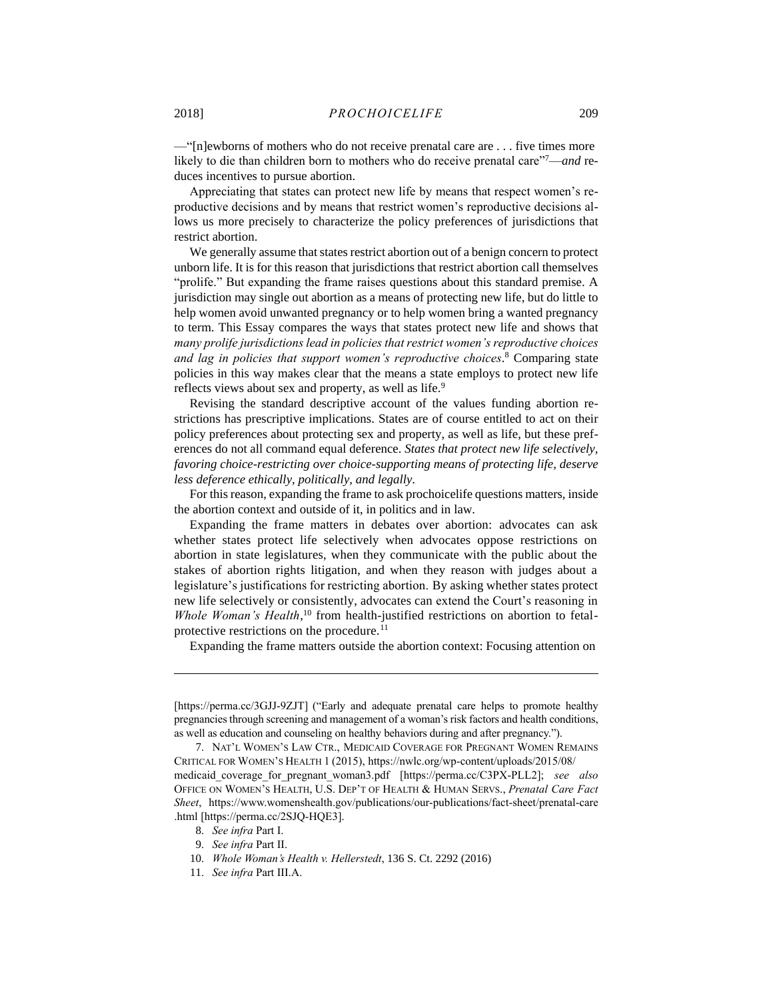<span id="page-3-0"></span>—"[n]ewborns of mothers who do not receive prenatal care are . . . five times more likely to die than children born to mothers who do receive prenatal care"7—*and* reduces incentives to pursue abortion.

Appreciating that states can protect new life by means that respect women's reproductive decisions and by means that restrict women's reproductive decisions allows us more precisely to characterize the policy preferences of jurisdictions that restrict abortion.

We generally assume that states restrict abortion out of a benign concern to protect unborn life. It is for this reason that jurisdictions that restrict abortion call themselves "prolife." But expanding the frame raises questions about this standard premise. A jurisdiction may single out abortion as a means of protecting new life, but do little to help women avoid unwanted pregnancy or to help women bring a wanted pregnancy to term. This Essay compares the ways that states protect new life and shows that *many prolife jurisdictions lead in policies that restrict women's reproductive choices and lag in policies that support women's reproductive choices*. <sup>8</sup> Comparing state policies in this way makes clear that the means a state employs to protect new life reflects views about sex and property, as well as life.<sup>9</sup>

Revising the standard descriptive account of the values funding abortion restrictions has prescriptive implications. States are of course entitled to act on their policy preferences about protecting sex and property, as well as life, but these preferences do not all command equal deference. *States that protect new life selectively, favoring choice-restricting over choice-supporting means of protecting life, deserve less deference ethically, politically, and legally*.

For this reason, expanding the frame to ask prochoicelife questions matters, inside the abortion context and outside of it, in politics and in law.

Expanding the frame matters in debates over abortion: advocates can ask whether states protect life selectively when advocates oppose restrictions on abortion in state legislatures, when they communicate with the public about the stakes of abortion rights litigation, and when they reason with judges about a legislature's justifications for restricting abortion. By asking whether states protect new life selectively or consistently, advocates can extend the Court's reasoning in Whole Woman's Health,<sup>10</sup> from health-justified restrictions on abortion to fetalprotective restrictions on the procedure.<sup>11</sup>

Expanding the frame matters outside the abortion context: Focusing attention on

<sup>[</sup>https://perma.cc/3GJJ-9ZJT] ("Early and adequate prenatal care helps to promote healthy pregnancies through screening and management of a woman's risk factors and health conditions, as well as education and counseling on healthy behaviors during and after pregnancy.").

<sup>7.</sup> NAT'L WOMEN'S LAW CTR., MEDICAID COVERAGE FOR PREGNANT WOMEN REMAINS CRITICAL FOR WOMEN'S HEALTH 1 (2015), https://nwlc.org/wp-content/uploads/2015/08/ medicaid\_coverage\_for\_pregnant\_woman3.pdf [https://perma.cc/C3PX-PLL2]; *see also* OFFICE ON WOMEN'S HEALTH, U.S. DEP'T OF HEALTH & HUMAN SERVS., *Prenatal Care Fact Sheet*, https://www.womenshealth.gov/publications/our-publications/fact-sheet/prenatal-care .html [https://perma.cc/2SJQ-HQE3].

<sup>8.</sup> *See infra* Part I.

<sup>9.</sup> *See infra* Part II.

<sup>10.</sup> *Whole Woman's Health v. Hellerstedt*, 136 S. Ct. 2292 (2016)

<sup>11.</sup> *See infra* Part III.A.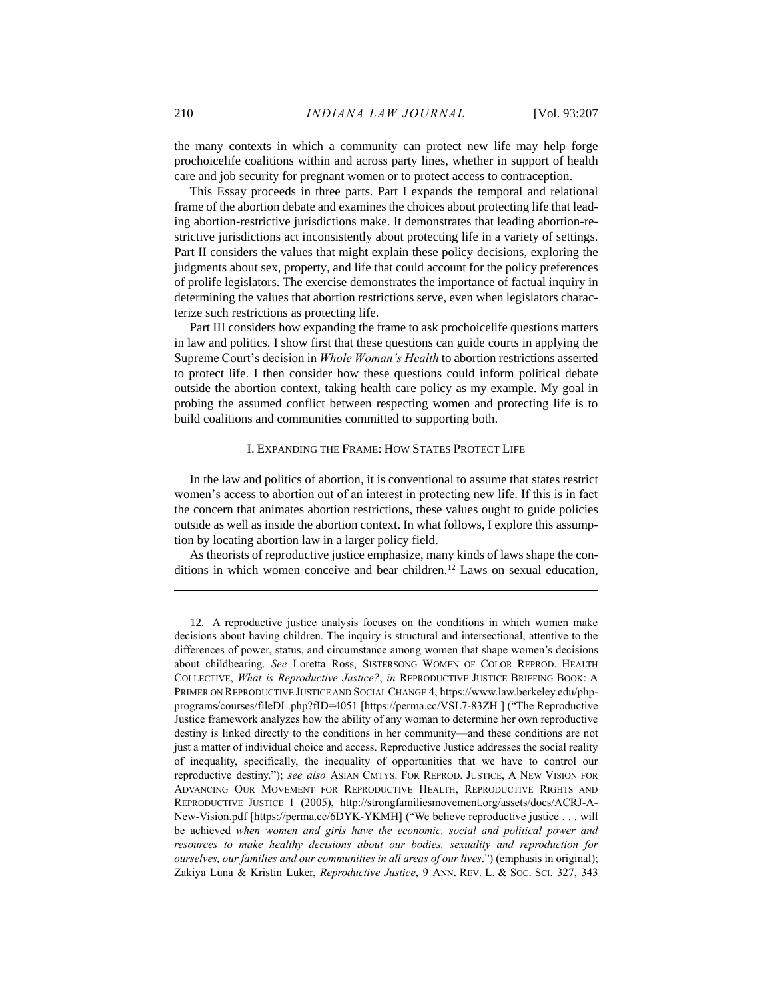the many contexts in which a community can protect new life may help forge prochoicelife coalitions within and across party lines, whether in support of health care and job security for pregnant women or to protect access to contraception.

This Essay proceeds in three parts. Part I expands the temporal and relational frame of the abortion debate and examines the choices about protecting life that leading abortion-restrictive jurisdictions make. It demonstrates that leading abortion-restrictive jurisdictions act inconsistently about protecting life in a variety of settings. Part II considers the values that might explain these policy decisions, exploring the judgments about sex, property, and life that could account for the policy preferences of prolife legislators. The exercise demonstrates the importance of factual inquiry in determining the values that abortion restrictions serve, even when legislators characterize such restrictions as protecting life.

Part III considers how expanding the frame to ask prochoicelife questions matters in law and politics. I show first that these questions can guide courts in applying the Supreme Court's decision in *Whole Woman's Health* to abortion restrictions asserted to protect life. I then consider how these questions could inform political debate outside the abortion context, taking health care policy as my example. My goal in probing the assumed conflict between respecting women and protecting life is to build coalitions and communities committed to supporting both.

#### I. EXPANDING THE FRAME: HOW STATES PROTECT LIFE

In the law and politics of abortion, it is conventional to assume that states restrict women's access to abortion out of an interest in protecting new life. If this is in fact the concern that animates abortion restrictions, these values ought to guide policies outside as well as inside the abortion context. In what follows, I explore this assumption by locating abortion law in a larger policy field.

As theorists of reproductive justice emphasize, many kinds of laws shape the conditions in which women conceive and bear children.<sup>12</sup> Laws on sexual education,

<sup>12.</sup> A reproductive justice analysis focuses on the conditions in which women make decisions about having children. The inquiry is structural and intersectional, attentive to the differences of power, status, and circumstance among women that shape women's decisions about childbearing. *See* Loretta Ross, SISTERSONG WOMEN OF COLOR REPROD. HEALTH COLLECTIVE, *What is Reproductive Justice?*, *in* REPRODUCTIVE JUSTICE BRIEFING BOOK: A PRIMER ON REPRODUCTIVE JUSTICE AND SOCIAL CHANGE 4, https://www.law.berkeley.edu/phpprograms/courses/fileDL.php?fID=4051 [https://perma.cc/VSL7-83ZH ] ("The Reproductive Justice framework analyzes how the ability of any woman to determine her own reproductive destiny is linked directly to the conditions in her community—and these conditions are not just a matter of individual choice and access. Reproductive Justice addresses the social reality of inequality, specifically, the inequality of opportunities that we have to control our reproductive destiny."); *see also* ASIAN CMTYS. FOR REPROD. JUSTICE, A NEW VISION FOR ADVANCING OUR MOVEMENT FOR REPRODUCTIVE HEALTH, REPRODUCTIVE RIGHTS AND REPRODUCTIVE JUSTICE 1 (2005), http://strongfamiliesmovement.org/assets/docs/ACRJ-A-New-Vision.pdf [https://perma.cc/6DYK-YKMH] ("We believe reproductive justice . . . will be achieved *when women and girls have the economic, social and political power and resources to make healthy decisions about our bodies, sexuality and reproduction for ourselves, our families and our communities in all areas of our lives*.") (emphasis in original); Zakiya Luna & Kristin Luker, *Reproductive Justice*, 9 ANN. REV. L. & SOC. SCI. 327, 343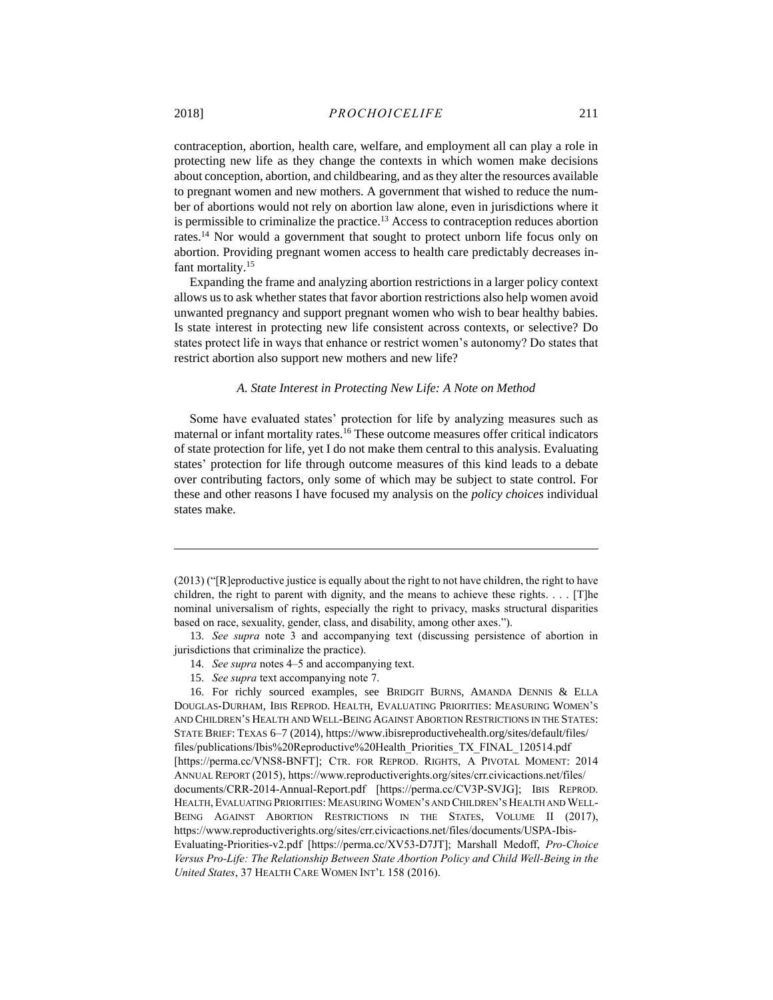contraception, abortion, health care, welfare, and employment all can play a role in protecting new life as they change the contexts in which women make decisions about conception, abortion, and childbearing, and as they alter the resources available to pregnant women and new mothers. A government that wished to reduce the number of abortions would not rely on abortion law alone, even in jurisdictions where it is permissible to criminalize the practice.<sup>13</sup> Access to contraception reduces abortion rates.<sup>14</sup> Nor would a government that sought to protect unborn life focus only on abortion. Providing pregnant women access to health care predictably decreases infant mortality.<sup>15</sup>

Expanding the frame and analyzing abortion restrictions in a larger policy context allows us to ask whether states that favor abortion restrictions also help women avoid unwanted pregnancy and support pregnant women who wish to bear healthy babies. Is state interest in protecting new life consistent across contexts, or selective? Do states protect life in ways that enhance or restrict women's autonomy? Do states that restrict abortion also support new mothers and new life?

#### *A. State Interest in Protecting New Life: A Note on Method*

Some have evaluated states' protection for life by analyzing measures such as maternal or infant mortality rates.<sup>16</sup> These outcome measures offer critical indicators of state protection for life, yet I do not make them central to this analysis. Evaluating states' protection for life through outcome measures of this kind leads to a debate over contributing factors, only some of which may be subject to state control. For these and other reasons I have focused my analysis on the *policy choices* individual states make.

13. *See supra* note [3](#page-2-0) and accompanying text (discussing persistence of abortion in jurisdictions that criminalize the practice).

- 14. *See supra* notes [4–](#page-2-1)[5](#page-2-2) and accompanying text.
- 15. *See supra* text accompanying note [7.](#page-3-0)

16. For richly sourced examples, see BRIDGIT BURNS, AMANDA DENNIS & ELLA DOUGLAS-DURHAM, IBIS REPROD. HEALTH, EVALUATING PRIORITIES: MEASURING WOMEN'S AND CHILDREN'S HEALTH AND WELL-BEING AGAINST ABORTION RESTRICTIONS IN THE STATES: STATE BRIEF: TEXAS 6–7 (2014), https://www.ibisreproductivehealth.org/sites/default/files/ files/publications/Ibis%20Reproductive%20Health\_Priorities\_TX\_FINAL\_120514.pdf [https://perma.cc/VNS8-BNFT]; CTR. FOR REPROD. RIGHTS, A PIVOTAL MOMENT: 2014 ANNUAL REPORT (2015), https://www.reproductiverights.org/sites/crr.civicactions.net/files/ documents/CRR-2014-Annual-Report.pdf [https://perma.cc/CV3P-SVJG]; IBIS REPROD. HEALTH, EVALUATING PRIORITIES: MEASURING WOMEN'S AND CHILDREN'S HEALTH AND WELL-BEING AGAINST ABORTION RESTRICTIONS IN THE STATES, VOLUME II (2017), https://www.reproductiverights.org/sites/crr.civicactions.net/files/documents/USPA-Ibis-Evaluating-Priorities-v2.pdf [https://perma.cc/XV53-D7JT]; Marshall Medoff, *Pro-Choice Versus Pro-Life: The Relationship Between State Abortion Policy and Child Well-Being in the United States*, 37 HEALTH CARE WOMEN INT'L 158 (2016).

<sup>(2013) (&</sup>quot;[R]eproductive justice is equally about the right to not have children, the right to have children, the right to parent with dignity, and the means to achieve these rights. . . . [T]he nominal universalism of rights, especially the right to privacy, masks structural disparities based on race, sexuality, gender, class, and disability, among other axes.").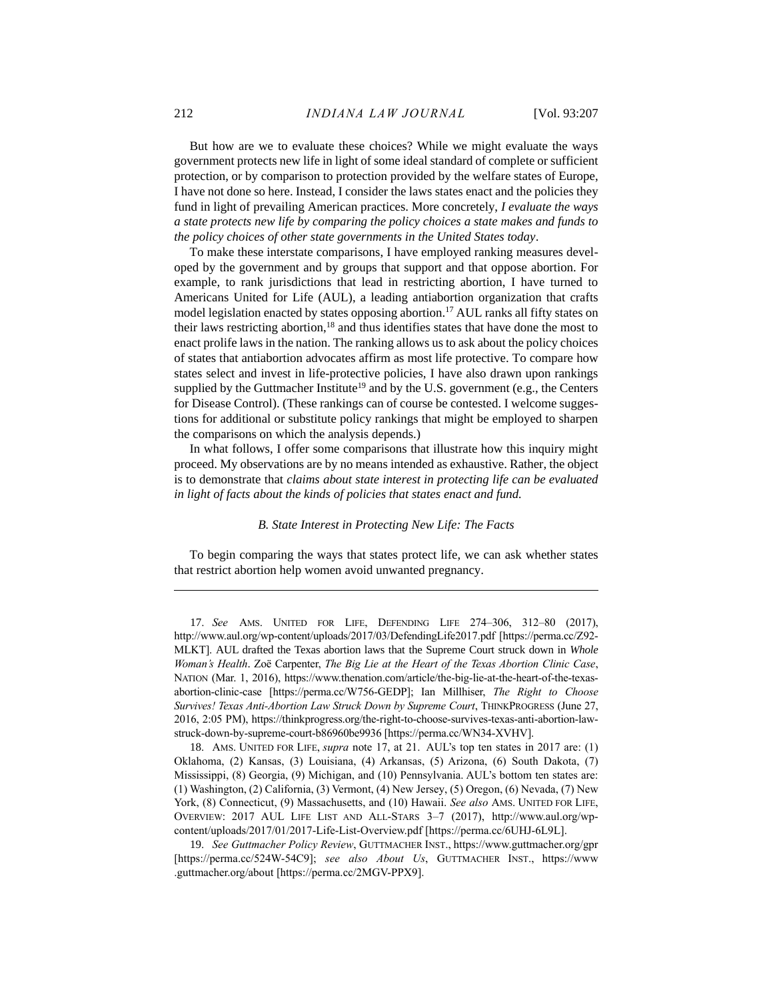But how are we to evaluate these choices? While we might evaluate the ways government protects new life in light of some ideal standard of complete or sufficient protection, or by comparison to protection provided by the welfare states of Europe, I have not done so here. Instead, I consider the laws states enact and the policies they fund in light of prevailing American practices. More concretely, *I evaluate the ways a state protects new life by comparing the policy choices a state makes and funds to the policy choices of other state governments in the United States today*.

<span id="page-6-1"></span><span id="page-6-0"></span>To make these interstate comparisons, I have employed ranking measures developed by the government and by groups that support and that oppose abortion. For example, to rank jurisdictions that lead in restricting abortion, I have turned to Americans United for Life (AUL), a leading antiabortion organization that crafts model legislation enacted by states opposing abortion.<sup>17</sup> AUL ranks all fifty states on their laws restricting abortion, $18$  and thus identifies states that have done the most to enact prolife laws in the nation. The ranking allows us to ask about the policy choices of states that antiabortion advocates affirm as most life protective. To compare how states select and invest in life-protective policies, I have also drawn upon rankings supplied by the Guttmacher Institute<sup>19</sup> and by the U.S. government (e.g., the Centers for Disease Control). (These rankings can of course be contested. I welcome suggestions for additional or substitute policy rankings that might be employed to sharpen the comparisons on which the analysis depends.)

In what follows, I offer some comparisons that illustrate how this inquiry might proceed. My observations are by no means intended as exhaustive. Rather, the object is to demonstrate that *claims about state interest in protecting life can be evaluated in light of facts about the kinds of policies that states enact and fund.*

#### *B. State Interest in Protecting New Life: The Facts*

To begin comparing the ways that states protect life, we can ask whether states that restrict abortion help women avoid unwanted pregnancy.

<sup>17.</sup> *See* AMS. UNITED FOR LIFE, DEFENDING LIFE 274–306, 312–80 (2017), http://www.aul.org/wp-content/uploads/2017/03/DefendingLife2017.pdf [https://perma.cc/Z92- MLKT]. AUL drafted the Texas abortion laws that the Supreme Court struck down in *Whole Woman's Health*. Zoë Carpenter, *The Big Lie at the Heart of the Texas Abortion Clinic Case*, NATION (Mar. 1, 2016), https://www.thenation.com/article/the-big-lie-at-the-heart-of-the-texasabortion-clinic-case [https://perma.cc/W756-GEDP]; Ian Millhiser, *The Right to Choose Survives! Texas Anti-Abortion Law Struck Down by Supreme Court*, THINKPROGRESS (June 27, 2016, 2:05 PM), https://thinkprogress.org/the-right-to-choose-survives-texas-anti-abortion-lawstruck-down-by-supreme-court-b86960be9936 [https://perma.cc/WN34-XVHV].

<sup>18.</sup> AMS. UNITED FOR LIFE, *supra* note [17,](#page-6-0) at 21. AUL's top ten states in 2017 are: (1) Oklahoma, (2) Kansas, (3) Louisiana, (4) Arkansas, (5) Arizona, (6) South Dakota, (7) Mississippi, (8) Georgia, (9) Michigan, and (10) Pennsylvania. AUL's bottom ten states are: (1) Washington, (2) California, (3) Vermont, (4) New Jersey, (5) Oregon, (6) Nevada, (7) New York, (8) Connecticut, (9) Massachusetts, and (10) Hawaii. *See also* AMS. UNITED FOR LIFE, OVERVIEW: 2017 AUL LIFE LIST AND ALL-STARS 3–7 (2017), http://www.aul.org/wpcontent/uploads/2017/01/2017-Life-List-Overview.pdf [https://perma.cc/6UHJ-6L9L].

<sup>19.</sup> *See Guttmacher Policy Review*, GUTTMACHER INST., https://www.guttmacher.org/gpr [https://perma.cc/524W-54C9]; *see also About Us*, GUTTMACHER INST., https://www .guttmacher.org/about [https://perma.cc/2MGV-PPX9].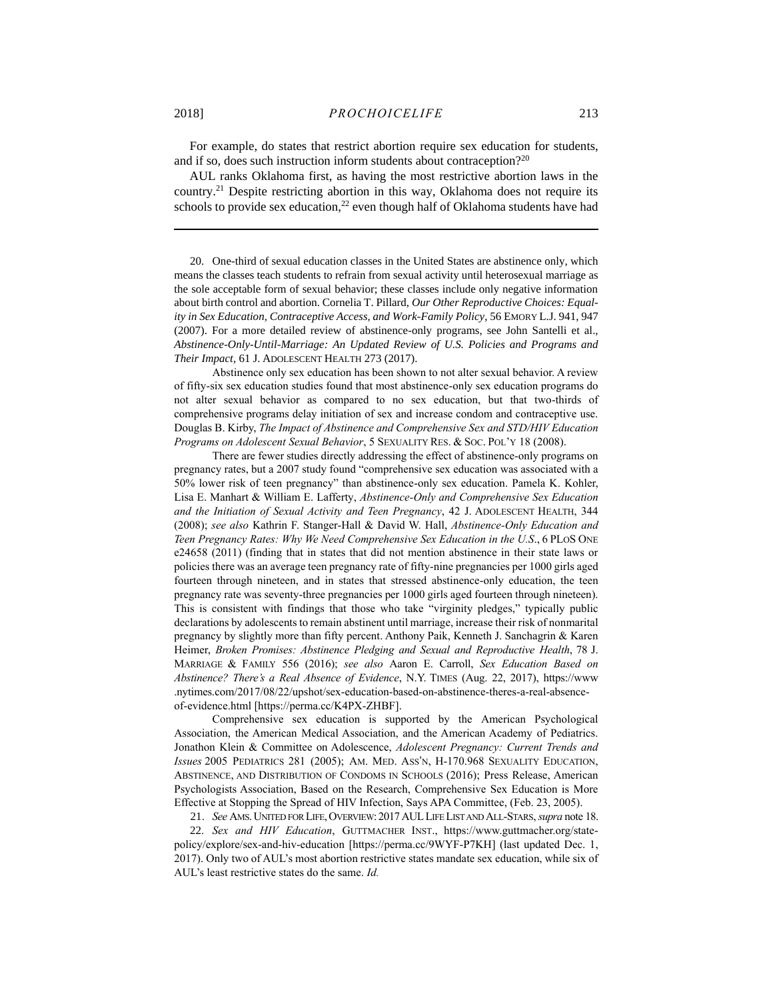For example, do states that restrict abortion require sex education for students, and if so, does such instruction inform students about contraception?<sup>20</sup>

<span id="page-7-0"></span>AUL ranks Oklahoma first, as having the most restrictive abortion laws in the country.<sup>21</sup> Despite restricting abortion in this way, Oklahoma does not require its schools to provide sex education, $22$  even though half of Oklahoma students have had

20. One-third of sexual education classes in the United States are abstinence only, which means the classes teach students to refrain from sexual activity until heterosexual marriage as the sole acceptable form of sexual behavior; these classes include only negative information about birth control and abortion. Cornelia T. Pillard, *Our Other Reproductive Choices: Equality in Sex Education, Contraceptive Access, and Work-Family Policy*, 56 EMORY L.J. 941, 947 (2007). For a more detailed review of abstinence-only programs, see John Santelli et al., *Abstinence-Only-Until-Marriage: An Updated Review of U.S. Policies and Programs and Their Impact*, 61 J. ADOLESCENT HEALTH 273 (2017).

Abstinence only sex education has been shown to not alter sexual behavior. A review of fifty-six sex education studies found that most abstinence-only sex education programs do not alter sexual behavior as compared to no sex education, but that two-thirds of comprehensive programs delay initiation of sex and increase condom and contraceptive use. Douglas B. Kirby, *The Impact of Abstinence and Comprehensive Sex and STD/HIV Education Programs on Adolescent Sexual Behavior*, 5 SEXUALITY RES. & SOC. POL'Y 18 (2008).

There are fewer studies directly addressing the effect of abstinence-only programs on pregnancy rates, but a 2007 study found "comprehensive sex education was associated with a 50% lower risk of teen pregnancy" than abstinence-only sex education. Pamela K. Kohler, Lisa E. Manhart & William E. Lafferty, *Abstinence-Only and Comprehensive Sex Education and the Initiation of Sexual Activity and Teen Pregnancy*, 42 J. ADOLESCENT HEALTH, 344 (2008); *see also* Kathrin F. Stanger-Hall & David W. Hall, *Abstinence-Only Education and Teen Pregnancy Rates: Why We Need Comprehensive Sex Education in the U.S*., 6 PLOS ONE e24658 (2011) (finding that in states that did not mention abstinence in their state laws or policies there was an average teen pregnancy rate of fifty-nine pregnancies per 1000 girls aged fourteen through nineteen, and in states that stressed abstinence-only education, the teen pregnancy rate was seventy-three pregnancies per 1000 girls aged fourteen through nineteen). This is consistent with findings that those who take "virginity pledges," typically public declarations by adolescents to remain abstinent until marriage, increase their risk of nonmarital pregnancy by slightly more than fifty percent. Anthony Paik, Kenneth J. Sanchagrin & Karen Heimer, *Broken Promises: Abstinence Pledging and Sexual and Reproductive Health*, 78 J. MARRIAGE & FAMILY 556 (2016); *see also* Aaron E. Carroll, *Sex Education Based on Abstinence? There's a Real Absence of Evidence*, N.Y. TIMES (Aug. 22, 2017), https://www .nytimes.com/2017/08/22/upshot/sex-education-based-on-abstinence-theres-a-real-absenceof-evidence.html [https://perma.cc/K4PX-ZHBF].

Comprehensive sex education is supported by the American Psychological Association, the American Medical Association, and the American Academy of Pediatrics. Jonathon Klein & Committee on Adolescence, *Adolescent Pregnancy: Current Trends and Issues* 2005 PEDIATRICS 281 (2005); AM. MED. ASS'N, H-170.968 SEXUALITY EDUCATION, ABSTINENCE, AND DISTRIBUTION OF CONDOMS IN SCHOOLS (2016); Press Release, American Psychologists Association, Based on the Research, Comprehensive Sex Education is More Effective at Stopping the Spread of HIV Infection, Says APA Committee, (Feb. 23, 2005).

21. *See* AMS.UNITED FOR LIFE,OVERVIEW: 2017AULLIFE LIST AND ALL-STARS,*supra* not[e 18.](#page-6-1)

22. *Sex and HIV Education*, GUTTMACHER INST., https://www.guttmacher.org/statepolicy/explore/sex-and-hiv-education [https://perma.cc/9WYF-P7KH] (last updated Dec. 1, 2017). Only two of AUL's most abortion restrictive states mandate sex education, while six of AUL's least restrictive states do the same. *Id.*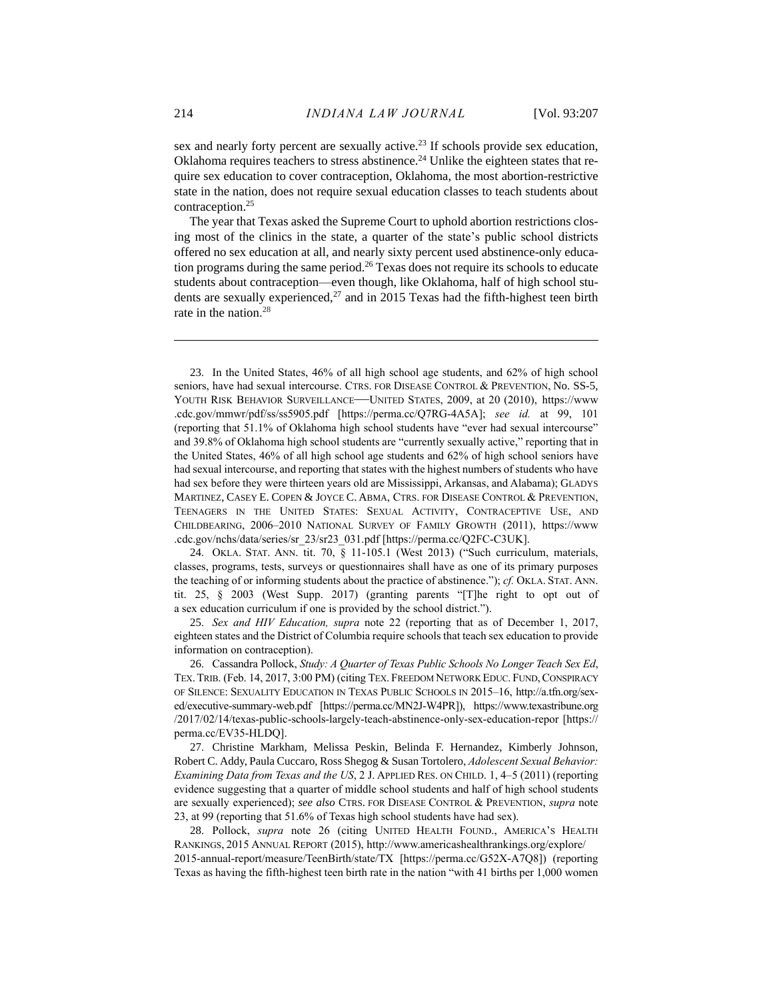<span id="page-8-0"></span>sex and nearly forty percent are sexually active.<sup>23</sup> If schools provide sex education, Oklahoma requires teachers to stress abstinence.<sup>24</sup> Unlike the eighteen states that require sex education to cover contraception, Oklahoma, the most abortion-restrictive state in the nation, does not require sexual education classes to teach students about contraception.<sup>25</sup>

<span id="page-8-1"></span>The year that Texas asked the Supreme Court to uphold abortion restrictions closing most of the clinics in the state, a quarter of the state's public school districts offered no sex education at all, and nearly sixty percent used abstinence-only education programs during the same period.<sup>26</sup> Texas does not require its schools to educate students about contraception—even though, like Oklahoma, half of high school students are sexually experienced, $27$  and in 2015 Texas had the fifth-highest teen birth rate in the nation. 28

23. In the United States, 46% of all high school age students, and 62% of high school seniors, have had sexual intercourse. CTRS. FOR DISEASE CONTROL & PREVENTION, No. SS-5, YOUTH RISK BEHAVIOR SURVEILLANCE—UNITED STATES, 2009, at 20 (2010), https://www .cdc.gov/mmwr/pdf/ss/ss5905.pdf [https://perma.cc/Q7RG-4A5A]; *see id.* at 99, 101 (reporting that 51.1% of Oklahoma high school students have "ever had sexual intercourse" and 39.8% of Oklahoma high school students are "currently sexually active," reporting that in the United States, 46% of all high school age students and 62% of high school seniors have had sexual intercourse, and reporting that states with the highest numbers of students who have had sex before they were thirteen years old are Mississippi, Arkansas, and Alabama); GLADYS MARTINEZ, CASEY E. COPEN & JOYCE C. ABMA, CTRS. FOR DISEASE CONTROL & PREVENTION, TEENAGERS IN THE UNITED STATES: SEXUAL ACTIVITY, CONTRACEPTIVE USE, AND CHILDBEARING, 2006–2010 NATIONAL SURVEY OF FAMILY GROWTH (2011), https://www .cdc.gov/nchs/data/series/sr\_23/sr23\_031.pdf [https://perma.cc/Q2FC-C3UK].

24. OKLA. STAT. ANN. tit. 70, § 11-105.1 (West 2013) ("Such curriculum, materials, classes, programs, tests, surveys or questionnaires shall have as one of its primary purposes the teaching of or informing students about the practice of abstinence."); *cf.* OKLA. STAT. ANN. tit. 25, § 2003 (West Supp. 2017) (granting parents "[T]he right to opt out of a sex education curriculum if one is provided by the school district.").

25. *Sex and HIV Education, supra* note [22](#page-7-0) (reporting that as of December 1, 2017, eighteen states and the District of Columbia require schools that teach sex education to provide information on contraception).

26. Cassandra Pollock, *Study: A Quarter of Texas Public Schools No Longer Teach Sex Ed*, TEX. TRIB. (Feb. 14, 2017, 3:00 PM) (citing TEX. FREEDOM NETWORK EDUC. FUND, CONSPIRACY OF SILENCE: SEXUALITY EDUCATION IN TEXAS PUBLIC SCHOOLS IN 2015–16, http://a.tfn.org/sexed/executive-summary-web.pdf [https://perma.cc/MN2J-W4PR]), https://www.texastribune.org /2017/02/14/texas-public-schools-largely-teach-abstinence-only-sex-education-repor [https:// perma.cc/EV35-HLDQ].

27. Christine Markham, Melissa Peskin, Belinda F. Hernandez, Kimberly Johnson, Robert C. Addy, Paula Cuccaro, Ross Shegog & Susan Tortolero, *Adolescent Sexual Behavior: Examining Data from Texas and the US*, 2 J. APPLIED RES. ON CHILD. 1, 4–5 (2011) (reporting evidence suggesting that a quarter of middle school students and half of high school students are sexually experienced); *see also* CTRS. FOR DISEASE CONTROL & PREVENTION, *supra* note [23,](#page-8-0) at 99 (reporting that 51.6% of Texas high school students have had sex).

28. Pollock, *supra* note [26](#page-8-1) (citing UNITED HEALTH FOUND., AMERICA'S HEALTH RANKINGS, 2015 ANNUAL REPORT (2015), http://www.americashealthrankings.org/explore/ 2015-annual-report/measure/TeenBirth/state/TX [https://perma.cc/G52X-A7Q8]) (reporting Texas as having the fifth-highest teen birth rate in the nation "with 41 births per 1,000 women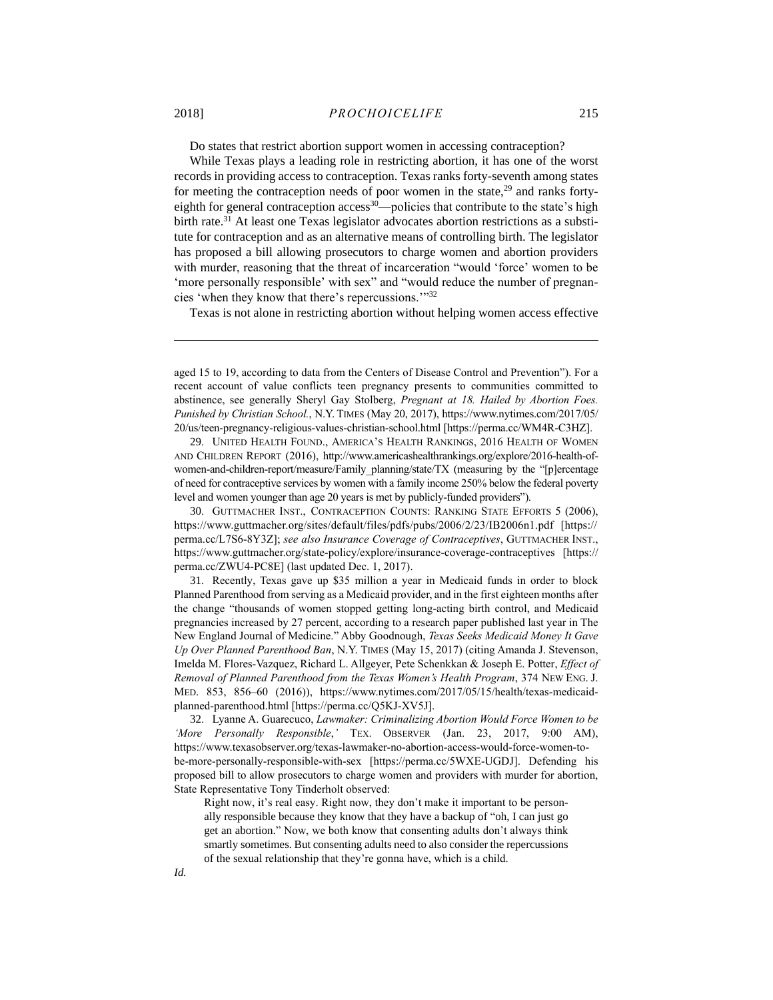<span id="page-9-1"></span><span id="page-9-0"></span>Do states that restrict abortion support women in accessing contraception?

While Texas plays a leading role in restricting abortion, it has one of the worst records in providing access to contraception. Texas ranks forty-seventh among states for meeting the contraception needs of poor women in the state, $29$  and ranks fortyeighth for general contraception access<sup>30</sup>—policies that contribute to the state's high birth rate.<sup>31</sup> At least one Texas legislator advocates abortion restrictions as a substitute for contraception and as an alternative means of controlling birth. The legislator has proposed a bill allowing prosecutors to charge women and abortion providers with murder, reasoning that the threat of incarceration "would 'force' women to be 'more personally responsible' with sex" and "would reduce the number of pregnancies 'when they know that there's repercussions.'"<sup>32</sup>

Texas is not alone in restricting abortion without helping women access effective

29. UNITED HEALTH FOUND., AMERICA'S HEALTH RANKINGS, 2016 HEALTH OF WOMEN AND CHILDREN REPORT (2016), http://www.americashealthrankings.org/explore/2016-health-ofwomen-and-children-report/measure/Family\_planning/state/TX (measuring by the "[p]ercentage of need for contraceptive services by women with a family income 250% below the federal poverty level and women younger than age 20 years is met by publicly-funded providers").

30. GUTTMACHER INST., CONTRACEPTION COUNTS: RANKING STATE EFFORTS 5 (2006), https://www.guttmacher.org/sites/default/files/pdfs/pubs/2006/2/23/IB2006n1.pdf [https:// perma.cc/L7S6-8Y3Z]; *see also Insurance Coverage of Contraceptives*, GUTTMACHER INST., https://www.guttmacher.org/state-policy/explore/insurance-coverage-contraceptives [https:// perma.cc/ZWU4-PC8E] (last updated Dec. 1, 2017).

31. Recently, Texas gave up \$35 million a year in Medicaid funds in order to block Planned Parenthood from serving as a Medicaid provider, and in the first eighteen months after the change "thousands of women stopped getting long-acting birth control, and Medicaid pregnancies increased by 27 percent, according to a research paper published last year in The New England Journal of Medicine." Abby Goodnough, *Texas Seeks Medicaid Money It Gave Up Over Planned Parenthood Ban*, N.Y. TIMES (May 15, 2017) (citing Amanda J. Stevenson, Imelda M. Flores-Vazquez, Richard L. Allgeyer, Pete Schenkkan & Joseph E. Potter, *Effect of Removal of Planned Parenthood from the Texas Women's Health Program*, 374 NEW ENG. J. MED. 853, 856–60 (2016)), https://www.nytimes.com/2017/05/15/health/texas-medicaidplanned-parenthood.html [https://perma.cc/Q5KJ-XV5J].

32. Lyanne A. Guarecuco, *Lawmaker: Criminalizing Abortion Would Force Women to be 'More Personally Responsible*,*'* TEX. OBSERVER (Jan. 23, 2017, 9:00 AM), https://www.texasobserver.org/texas-lawmaker-no-abortion-access-would-force-women-tobe-more-personally-responsible-with-sex [https://perma.cc/5WXE-UGDJ]. Defending his proposed bill to allow prosecutors to charge women and providers with murder for abortion, State Representative Tony Tinderholt observed:

Right now, it's real easy. Right now, they don't make it important to be personally responsible because they know that they have a backup of "oh, I can just go get an abortion." Now, we both know that consenting adults don't always think smartly sometimes. But consenting adults need to also consider the repercussions of the sexual relationship that they're gonna have, which is a child.

 $\overline{a}$ 

*Id.* 

aged 15 to 19, according to data from the Centers of Disease Control and Prevention"). For a recent account of value conflicts teen pregnancy presents to communities committed to abstinence, see generally Sheryl Gay Stolberg, *Pregnant at 18. Hailed by Abortion Foes. Punished by Christian School.*, N.Y. TIMES (May 20, 2017), https://www.nytimes.com/2017/05/ 20/us/teen-pregnancy-religious-values-christian-school.html [https://perma.cc/WM4R-C3HZ].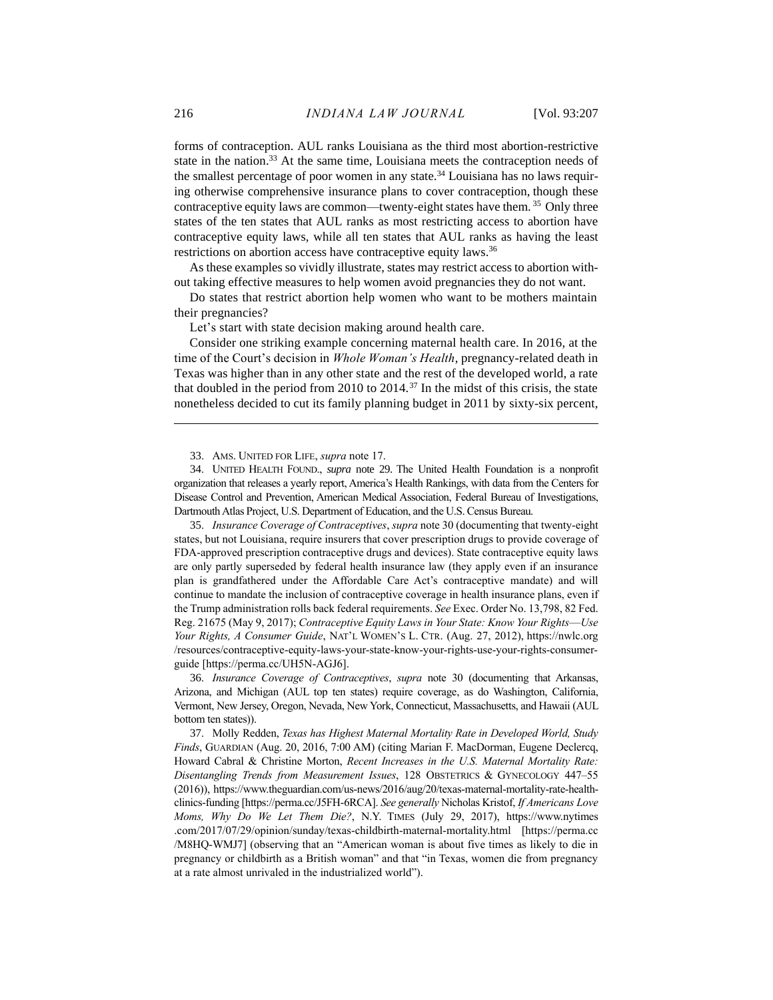forms of contraception. AUL ranks Louisiana as the third most abortion-restrictive state in the nation.<sup>33</sup> At the same time, Louisiana meets the contraception needs of the smallest percentage of poor women in any state.<sup>34</sup> Louisiana has no laws requiring otherwise comprehensive insurance plans to cover contraception, though these contraceptive equity laws are common—twenty-eight states have them. <sup>35</sup> Only three states of the ten states that AUL ranks as most restricting access to abortion have contraceptive equity laws, while all ten states that AUL ranks as having the least restrictions on abortion access have contraceptive equity laws.<sup>36</sup>

As these examples so vividly illustrate, states may restrict access to abortion without taking effective measures to help women avoid pregnancies they do not want.

Do states that restrict abortion help women who want to be mothers maintain their pregnancies?

<span id="page-10-0"></span>Let's start with state decision making around health care.

Consider one striking example concerning maternal health care. In 2016, at the time of the Court's decision in *Whole Woman's Health*, pregnancy-related death in Texas was higher than in any other state and the rest of the developed world, a rate that doubled in the period from 2010 to 2014.<sup>37</sup> In the midst of this crisis, the state nonetheless decided to cut its family planning budget in 2011 by sixty-six percent,

33. AMS. UNITED FOR LIFE, *supra* not[e 17.](#page-6-0) 

34. UNITED HEALTH FOUND., *supra* note [29.](#page-9-0) The United Health Foundation is a nonprofit organization that releases a yearly report, America's Health Rankings, with data from the Centers for Disease Control and Prevention, American Medical Association, Federal Bureau of Investigations, Dartmouth Atlas Project, U.S. Department of Education, and the U.S. Census Bureau.

35. *Insurance Coverage of Contraceptives*, *supra* not[e 30](#page-9-1) (documenting that twenty-eight states, but not Louisiana, require insurers that cover prescription drugs to provide coverage of FDA-approved prescription contraceptive drugs and devices). State contraceptive equity laws are only partly superseded by federal health insurance law (they apply even if an insurance plan is grandfathered under the Affordable Care Act's contraceptive mandate) and will continue to mandate the inclusion of contraceptive coverage in health insurance plans, even if the Trump administration rolls back federal requirements. *See* Exec. Order No. 13,798, 82 Fed. Reg. 21675 (May 9, 2017); *Contraceptive Equity Laws in Your State: Know Your Rights*—*Use Your Rights, A Consumer Guide*, NAT'L WOMEN'S L. CTR. (Aug. 27, 2012), https://nwlc.org /resources/contraceptive-equity-laws-your-state-know-your-rights-use-your-rights-consumerguide [https://perma.cc/UH5N-AGJ6].

36. *Insurance Coverage of Contraceptives*, *supra* note [30](#page-9-1) (documenting that Arkansas, Arizona, and Michigan (AUL top ten states) require coverage, as do Washington, California, Vermont, New Jersey, Oregon, Nevada, New York, Connecticut, Massachusetts, and Hawaii (AUL bottom ten states)).

37. Molly Redden, *Texas has Highest Maternal Mortality Rate in Developed World, Study Finds*, GUARDIAN (Aug. 20, 2016, 7:00 AM) (citing Marian F. MacDorman, Eugene Declercq, Howard Cabral & Christine Morton, *Recent Increases in the U.S. Maternal Mortality Rate: Disentangling Trends from Measurement Issues*, 128 OBSTETRICS & GYNECOLOGY 447–55 (2016)), https://www.theguardian.com/us-news/2016/aug/20/texas-maternal-mortality-rate-healthclinics-funding [https://perma.cc/J5FH-6RCA]. *See generally* Nicholas Kristof, *If Americans Love Moms, Why Do We Let Them Die?*, N.Y. TIMES (July 29, 2017), https://www.nytimes .com/2017/07/29/opinion/sunday/texas-childbirth-maternal-mortality.html [https://perma.cc /M8HQ-WMJ7] (observing that an "American woman is about five times as likely to die in pregnancy or childbirth as a British woman" and that "in Texas, women die from pregnancy at a rate almost unrivaled in the industrialized world").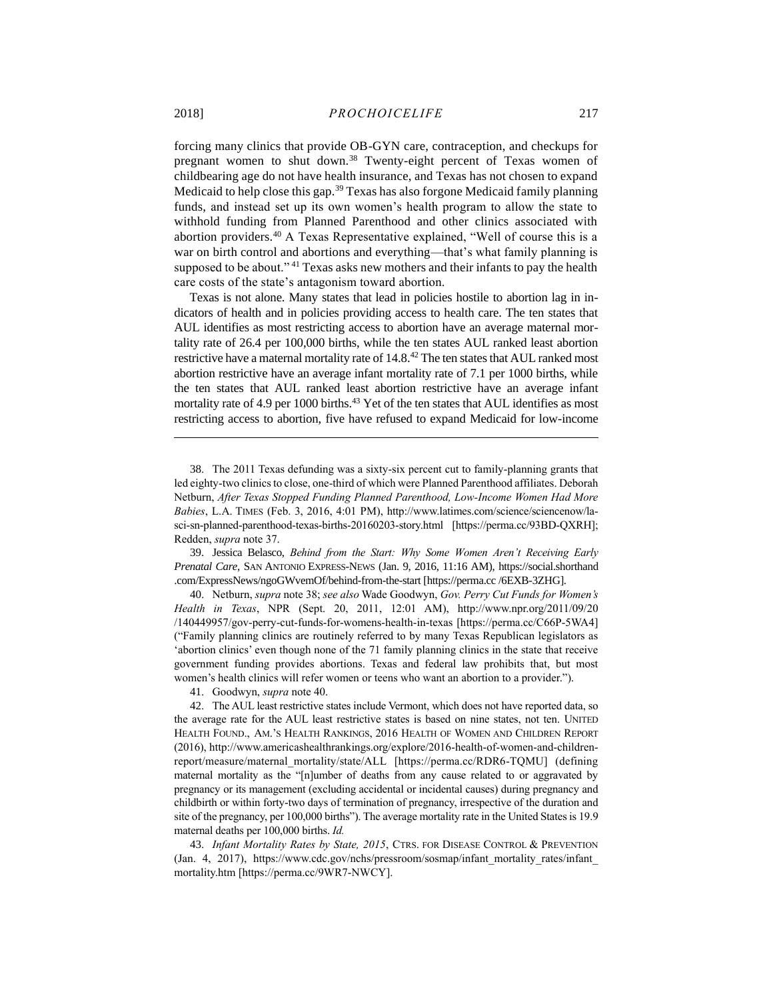<span id="page-11-0"></span>forcing many clinics that provide OB-GYN care, contraception, and checkups for pregnant women to shut down*.* <sup>38</sup> Twenty-eight percent of Texas women of childbearing age do not have health insurance, and Texas has not chosen to expand Medicaid to help close this gap.<sup>39</sup> Texas has also forgone Medicaid family planning funds, and instead set up its own women's health program to allow the state to withhold funding from Planned Parenthood and other clinics associated with abortion providers.<sup>40</sup> A Texas Representative explained, "Well of course this is a war on birth control and abortions and everything—that's what family planning is supposed to be about."<sup>41</sup> Texas asks new mothers and their infants to pay the health care costs of the state's antagonism toward abortion.

<span id="page-11-1"></span>Texas is not alone. Many states that lead in policies hostile to abortion lag in indicators of health and in policies providing access to health care. The ten states that AUL identifies as most restricting access to abortion have an average maternal mortality rate of 26.4 per 100,000 births, while the ten states AUL ranked least abortion restrictive have a maternal mortality rate of 14.8.<sup>42</sup> The ten states that AUL ranked most abortion restrictive have an average infant mortality rate of 7.1 per 1000 births, while the ten states that AUL ranked least abortion restrictive have an average infant mortality rate of 4.9 per 1000 births.<sup>43</sup> Yet of the ten states that AUL identifies as most restricting access to abortion, five have refused to expand Medicaid for low-income

39. Jessica Belasco, *Behind from the Start: Why Some Women Aren't Receiving Early Prenatal Care*, SAN ANTONIO EXPRESS-NEWS (Jan. 9, 2016, 11:16 AM), https://social.shorthand .com/ExpressNews/ngoGWvemOf/behind-from-the-start [https://perma.cc /6EXB-3ZHG].

40. Netburn, *supra* not[e 38;](#page-11-0) *see also* Wade Goodwyn, *Gov. Perry Cut Funds for Women's Health in Texas*, NPR (Sept. 20, 2011, 12:01 AM), http://www.npr.org/2011/09/20 /140449957/gov-perry-cut-funds-for-womens-health-in-texas [https://perma.cc/C66P-5WA4] ("Family planning clinics are routinely referred to by many Texas Republican legislators as 'abortion clinics' even though none of the 71 family planning clinics in the state that receive government funding provides abortions. Texas and federal law prohibits that, but most women's health clinics will refer women or teens who want an abortion to a provider.").

41. Goodwyn, *supra* note [40.](#page-11-1)

42. The AUL least restrictive states include Vermont, which does not have reported data, so the average rate for the AUL least restrictive states is based on nine states, not ten. UNITED HEALTH FOUND., AM.'S HEALTH RANKINGS, 2016 HEALTH OF WOMEN AND CHILDREN REPORT (2016), http://www.americashealthrankings.org/explore/2016-health-of-women-and-childrenreport/measure/maternal\_mortality/state/ALL [https://perma.cc/RDR6-TQMU] (defining maternal mortality as the "[n]umber of deaths from any cause related to or aggravated by pregnancy or its management (excluding accidental or incidental causes) during pregnancy and childbirth or within forty-two days of termination of pregnancy, irrespective of the duration and site of the pregnancy, per 100,000 births"). The average mortality rate in the United States is 19.9 maternal deaths per 100,000 births. *Id.*

43. *Infant Mortality Rates by State, 2015*, CTRS. FOR DISEASE CONTROL & PREVENTION (Jan. 4, 2017), https://www.cdc.gov/nchs/pressroom/sosmap/infant\_mortality\_rates/infant\_ mortality.htm [https://perma.cc/9WR7-NWCY].

<sup>38.</sup> The 2011 Texas defunding was a sixty-six percent cut to family-planning grants that led eighty-two clinics to close, one-third of which were Planned Parenthood affiliates. Deborah Netburn, *After Texas Stopped Funding Planned Parenthood, Low-Income Women Had More Babies*, L.A. TIMES (Feb. 3, 2016, 4:01 PM), http://www.latimes.com/science/sciencenow/lasci-sn-planned-parenthood-texas-births-20160203-story.html [https://perma.cc/93BD-QXRH]; Redden, *supra* note [37.](#page-10-0)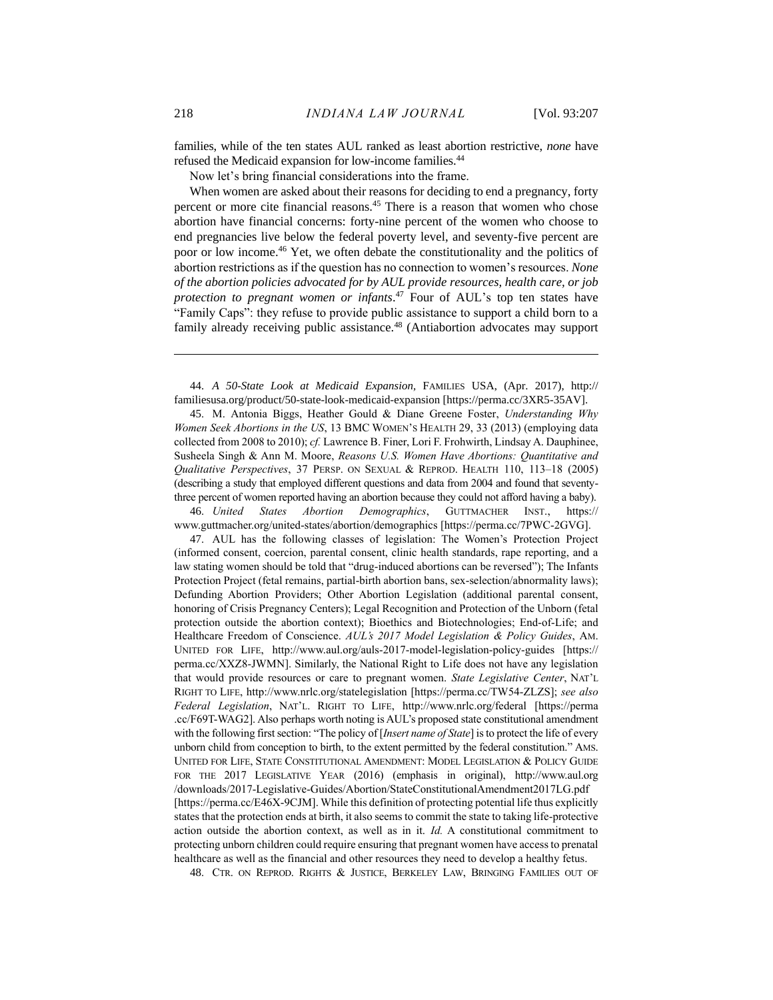families, while of the ten states AUL ranked as least abortion restrictive, *none* have refused the Medicaid expansion for low-income families.<sup>44</sup>

<span id="page-12-0"></span>Now let's bring financial considerations into the frame.

When women are asked about their reasons for deciding to end a pregnancy, forty percent or more cite financial reasons.<sup>45</sup> There is a reason that women who chose abortion have financial concerns: forty-nine percent of the women who choose to end pregnancies live below the federal poverty level, and seventy-five percent are poor or low income.<sup>46</sup> Yet, we often debate the constitutionality and the politics of abortion restrictions as if the question has no connection to women's resources. *None of the abortion policies advocated for by AUL provide resources, health care, or job protection to pregnant women or infants*. <sup>47</sup> Four of AUL's top ten states have "Family Caps": they refuse to provide public assistance to support a child born to a family already receiving public assistance.<sup>48</sup> (Antiabortion advocates may support

44. *A 50-State Look at Medicaid Expansion,* FAMILIES USA, (Apr. 2017), http:// familiesusa.org/product/50-state-look-medicaid-expansion [https://perma.cc/3XR5-35AV].

45. M. Antonia Biggs, Heather Gould & Diane Greene Foster, *Understanding Why Women Seek Abortions in the US*, 13 BMC WOMEN'S HEALTH 29, 33 (2013) (employing data collected from 2008 to 2010); *cf.* Lawrence B. Finer, Lori F. Frohwirth, Lindsay A. Dauphinee, Susheela Singh & Ann M. Moore, *Reasons U.S. Women Have Abortions: Quantitative and Qualitative Perspectives*, 37 PERSP. ON SEXUAL & REPROD. HEALTH 110, 113–18 (2005) (describing a study that employed different questions and data from 2004 and found that seventythree percent of women reported having an abortion because they could not afford having a baby).

46. *United States Abortion Demographics*, GUTTMACHER INST., https:// www.guttmacher.org/united-states/abortion/demographics [https://perma.cc/7PWC-2GVG].

47. AUL has the following classes of legislation: The Women's Protection Project (informed consent, coercion, parental consent, clinic health standards, rape reporting, and a law stating women should be told that "drug-induced abortions can be reversed"); The Infants Protection Project (fetal remains, partial-birth abortion bans, sex-selection/abnormality laws); Defunding Abortion Providers; Other Abortion Legislation (additional parental consent, honoring of Crisis Pregnancy Centers); Legal Recognition and Protection of the Unborn (fetal protection outside the abortion context); Bioethics and Biotechnologies; End-of-Life; and Healthcare Freedom of Conscience. *AUL's 2017 Model Legislation & Policy Guides*, AM. UNITED FOR LIFE, http://www.aul.org/auls-2017-model-legislation-policy-guides [https:// perma.cc/XXZ8-JWMN]. Similarly, the National Right to Life does not have any legislation that would provide resources or care to pregnant women. *State Legislative Center*, NAT'L RIGHT TO LIFE, http://www.nrlc.org/statelegislation [https://perma.cc/TW54-ZLZS]; *see also Federal Legislation*, NAT'L. RIGHT TO LIFE, http://www.nrlc.org/federal [https://perma .cc/F69T-WAG2]. Also perhaps worth noting is AUL's proposed state constitutional amendment with the following first section: "The policy of [*Insert name of State*] is to protect the life of every unborn child from conception to birth, to the extent permitted by the federal constitution." AMS. UNITED FOR LIFE, STATE CONSTITUTIONAL AMENDMENT: MODEL LEGISLATION & POLICY GUIDE FOR THE 2017 LEGISLATIVE YEAR (2016) (emphasis in original), http://www.aul.org /downloads/2017-Legislative-Guides/Abortion/StateConstitutionalAmendment2017LG.pdf [https://perma.cc/E46X-9CJM]. While this definition of protecting potential life thus explicitly states that the protection ends at birth, it also seems to commit the state to taking life-protective action outside the abortion context, as well as in it. *Id.* A constitutional commitment to protecting unborn children could require ensuring that pregnant women have access to prenatal healthcare as well as the financial and other resources they need to develop a healthy fetus.

48. CTR. ON REPROD. RIGHTS & JUSTICE, BERKELEY LAW, BRINGING FAMILIES OUT OF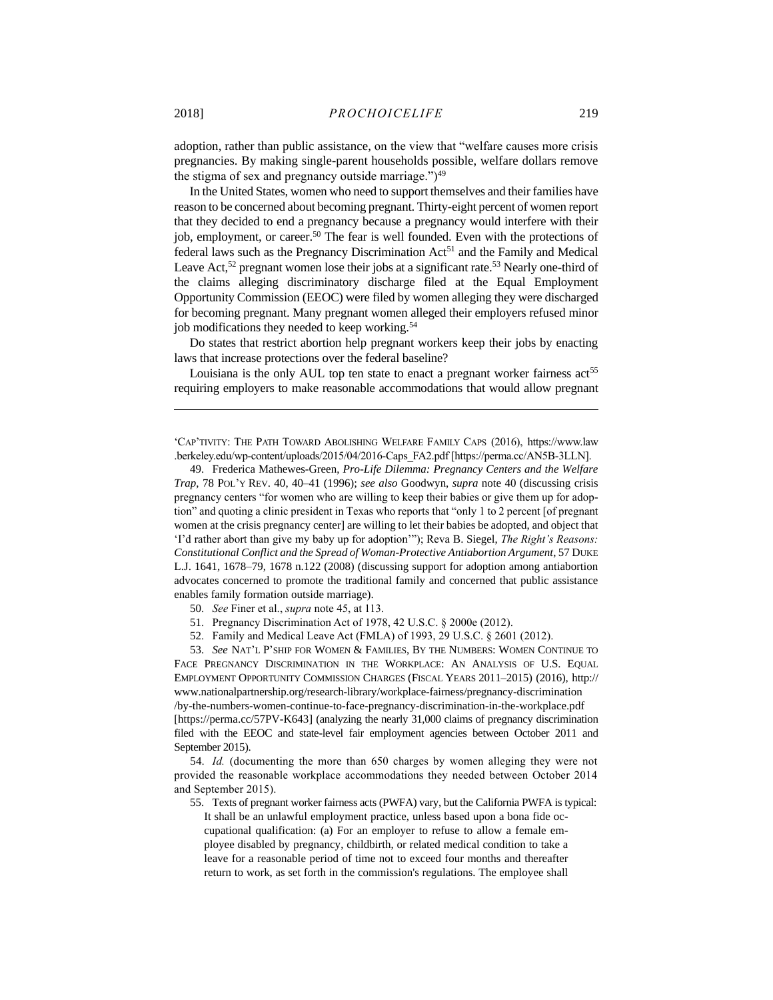adoption, rather than public assistance, on the view that "welfare causes more crisis pregnancies. By making single-parent households possible, welfare dollars remove the stigma of sex and pregnancy outside marriage." $)^{49}$ 

<span id="page-13-0"></span>In the United States, women who need to support themselves and their families have reason to be concerned about becoming pregnant. Thirty-eight percent of women report that they decided to end a pregnancy because a pregnancy would interfere with their job, employment, or career.<sup>50</sup> The fear is well founded. Even with the protections of federal laws such as the Pregnancy Discrimination Act<sup>51</sup> and the Family and Medical Leave Act,<sup>52</sup> pregnant women lose their jobs at a significant rate.<sup>53</sup> Nearly one-third of the claims alleging discriminatory discharge filed at the Equal Employment Opportunity Commission (EEOC) were filed by women alleging they were discharged for becoming pregnant. Many pregnant women alleged their employers refused minor job modifications they needed to keep working.<sup>54</sup>

Do states that restrict abortion help pregnant workers keep their jobs by enacting laws that increase protections over the federal baseline?

Louisiana is the only AUL top ten state to enact a pregnant worker fairness  $\arctan 55$ requiring employers to make reasonable accommodations that would allow pregnant

'CAP'TIVITY: THE PATH TOWARD ABOLISHING WELFARE FAMILY CAPS (2016), https://www.law .berkeley.edu/wp-content/uploads/2015/04/2016-Caps\_FA2.pdf [https://perma.cc/AN5B-3LLN].

49. Frederica Mathewes-Green, *Pro-Life Dilemma: Pregnancy Centers and the Welfare Trap*, 78 POL'Y REV. 40, 40–41 (1996); *see also* Goodwyn, *supra* note [40](#page-11-1) (discussing crisis pregnancy centers "for women who are willing to keep their babies or give them up for adoption" and quoting a clinic president in Texas who reports that "only 1 to 2 percent [of pregnant women at the crisis pregnancy center] are willing to let their babies be adopted, and object that 'I'd rather abort than give my baby up for adoption'"); Reva B. Siegel, *The Right's Reasons: Constitutional Conflict and the Spread of Woman-Protective Antiabortion Argument*, 57 DUKE L.J. 1641, 1678–79, 1678 n.122 (2008) (discussing support for adoption among antiabortion advocates concerned to promote the traditional family and concerned that public assistance enables family formation outside marriage).

50. *See* Finer et al., *supra* note [45,](#page-12-0) at 113.

51. Pregnancy Discrimination Act of 1978, 42 U.S.C. § 2000e (2012).

52. Family and Medical Leave Act (FMLA) of 1993, 29 U.S.C. § 2601 (2012).

53. *See* NAT'L P'SHIP FOR WOMEN & FAMILIES, BY THE NUMBERS: WOMEN CONTINUE TO FACE PREGNANCY DISCRIMINATION IN THE WORKPLACE: AN ANALYSIS OF U.S. EQUAL EMPLOYMENT OPPORTUNITY COMMISSION CHARGES (FISCAL YEARS 2011–2015) (2016), http:// www.nationalpartnership.org/research-library/workplace-fairness/pregnancy-discrimination /by-the-numbers-women-continue-to-face-pregnancy-discrimination-in-the-workplace.pdf [https://perma.cc/57PV-K643] (analyzing the nearly 31,000 claims of pregnancy discrimination filed with the EEOC and state-level fair employment agencies between October 2011 and September 2015).

54. *Id.* (documenting the more than 650 charges by women alleging they were not provided the reasonable workplace accommodations they needed between October 2014 and September 2015).

55. Texts of pregnant worker fairness acts (PWFA) vary, but the California PWFA is typical: It shall be an unlawful employment practice, unless based upon a bona fide occupational qualification: (a) For an employer to refuse to allow a female employee disabled by pregnancy, childbirth, or related medical condition to take a leave for a reasonable period of time not to exceed four months and thereafter return to work, as set forth in the commission's regulations. The employee shall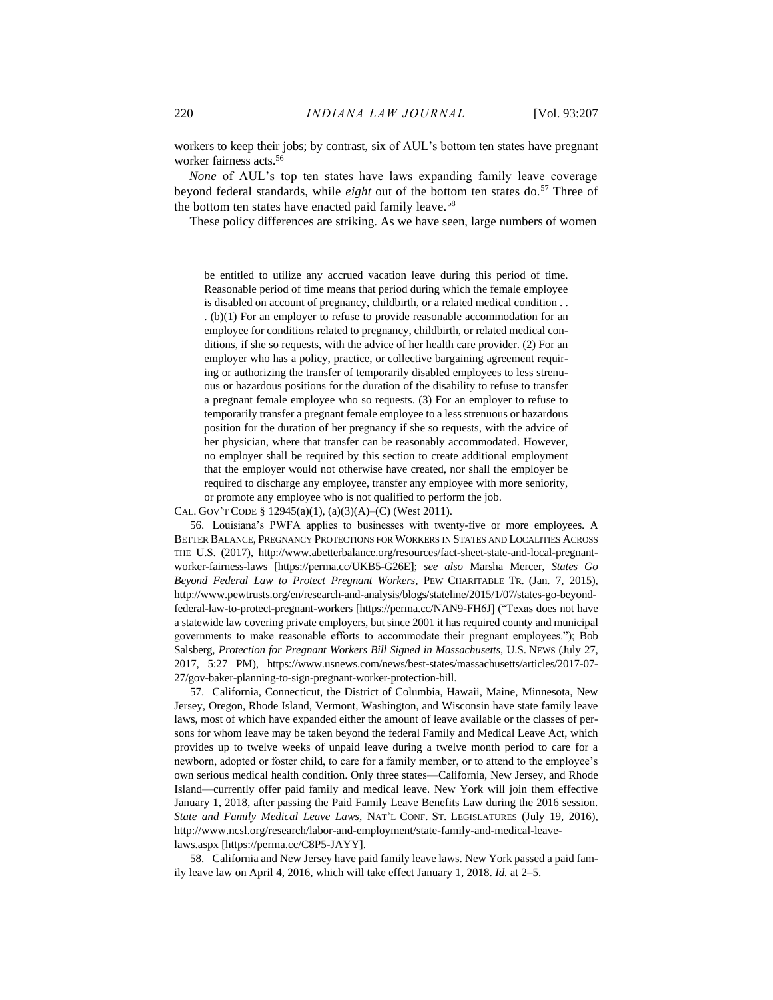workers to keep their jobs; by contrast, six of AUL's bottom ten states have pregnant worker fairness acts.<sup>56</sup>

*None* of AUL's top ten states have laws expanding family leave coverage beyond federal standards, while *eight* out of the bottom ten states do.<sup>57</sup> Three of the bottom ten states have enacted paid family leave.<sup>58</sup>

These policy differences are striking. As we have seen, large numbers of women

be entitled to utilize any accrued vacation leave during this period of time. Reasonable period of time means that period during which the female employee is disabled on account of pregnancy, childbirth, or a related medical condition . . . (b)(1) For an employer to refuse to provide reasonable accommodation for an employee for conditions related to pregnancy, childbirth, or related medical conditions, if she so requests, with the advice of her health care provider. (2) For an employer who has a policy, practice, or collective bargaining agreement requiring or authorizing the transfer of temporarily disabled employees to less strenuous or hazardous positions for the duration of the disability to refuse to transfer a pregnant female employee who so requests. (3) For an employer to refuse to temporarily transfer a pregnant female employee to a less strenuous or hazardous position for the duration of her pregnancy if she so requests, with the advice of her physician, where that transfer can be reasonably accommodated. However, no employer shall be required by this section to create additional employment that the employer would not otherwise have created, nor shall the employer be required to discharge any employee, transfer any employee with more seniority, or promote any employee who is not qualified to perform the job.

CAL. GOV'T CODE § 12945(a)(1), (a)(3)(A)–(C) (West 2011).

56. Louisiana's PWFA applies to businesses with twenty-five or more employees. A BETTER BALANCE, PREGNANCY PROTECTIONS FOR WORKERS IN STATES AND LOCALITIES ACROSS THE U.S. (2017), http://www.abetterbalance.org/resources/fact-sheet-state-and-local-pregnantworker-fairness-laws [https://perma.cc/UKB5-G26E]; *see also* Marsha Mercer, *States Go Beyond Federal Law to Protect Pregnant Workers*, PEW CHARITABLE TR. (Jan. 7, 2015), http://www.pewtrusts.org/en/research-and-analysis/blogs/stateline/2015/1/07/states-go-beyondfederal-law-to-protect-pregnant-workers [https://perma.cc/NAN9-FH6J] ("Texas does not have a statewide law covering private employers, but since 2001 it has required county and municipal governments to make reasonable efforts to accommodate their pregnant employees."); Bob Salsberg, *Protection for Pregnant Workers Bill Signed in Massachusetts*, U.S. NEWS (July 27, 2017, 5:27 PM), https://www.usnews.com/news/best-states/massachusetts/articles/2017-07- 27/gov-baker-planning-to-sign-pregnant-worker-protection-bill.

57. California, Connecticut, the District of Columbia, Hawaii, Maine, Minnesota, New Jersey, Oregon, Rhode Island, Vermont, Washington, and Wisconsin have state family leave laws, most of which have expanded either the amount of leave available or the classes of persons for whom leave may be taken beyond the federal Family and Medical Leave Act, which provides up to twelve weeks of unpaid leave during a twelve month period to care for a newborn, adopted or foster child, to care for a family member, or to attend to the employee's own serious medical health condition. Only three states—California, New Jersey, and Rhode Island—currently offer paid family and medical leave. New York will join them effective January 1, 2018, after passing the Paid Family Leave Benefits Law during the 2016 session. *State and Family Medical Leave Laws*, NAT'L CONF. ST. LEGISLATURES (July 19, 2016), http://www.ncsl.org/research/labor-and-employment/state-family-and-medical-leavelaws.aspx [https://perma.cc/C8P5-JAYY].

58. California and New Jersey have paid family leave laws. New York passed a paid family leave law on April 4, 2016, which will take effect January 1, 2018. *Id.* at 2–5.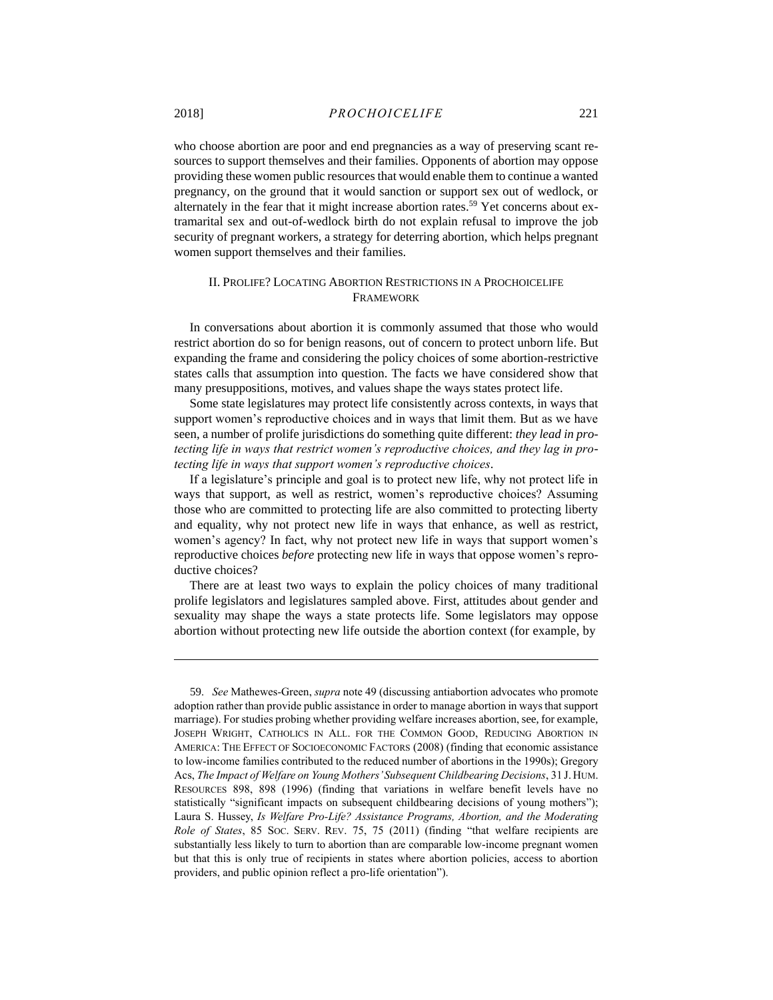who choose abortion are poor and end pregnancies as a way of preserving scant resources to support themselves and their families. Opponents of abortion may oppose providing these women public resources that would enable them to continue a wanted pregnancy, on the ground that it would sanction or support sex out of wedlock, or alternately in the fear that it might increase abortion rates.<sup>59</sup> Yet concerns about extramarital sex and out-of-wedlock birth do not explain refusal to improve the job security of pregnant workers, a strategy for deterring abortion, which helps pregnant women support themselves and their families.

#### II. PROLIFE? LOCATING ABORTION RESTRICTIONS IN A PROCHOICELIFE FRAMEWORK

In conversations about abortion it is commonly assumed that those who would restrict abortion do so for benign reasons, out of concern to protect unborn life. But expanding the frame and considering the policy choices of some abortion-restrictive states calls that assumption into question. The facts we have considered show that many presuppositions, motives, and values shape the ways states protect life.

Some state legislatures may protect life consistently across contexts, in ways that support women's reproductive choices and in ways that limit them. But as we have seen, a number of prolife jurisdictions do something quite different: *they lead in protecting life in ways that restrict women's reproductive choices, and they lag in protecting life in ways that support women's reproductive choices*.

If a legislature's principle and goal is to protect new life, why not protect life in ways that support, as well as restrict, women's reproductive choices? Assuming those who are committed to protecting life are also committed to protecting liberty and equality, why not protect new life in ways that enhance, as well as restrict, women's agency? In fact, why not protect new life in ways that support women's reproductive choices *before* protecting new life in ways that oppose women's reproductive choices?

There are at least two ways to explain the policy choices of many traditional prolife legislators and legislatures sampled above. First, attitudes about gender and sexuality may shape the ways a state protects life. Some legislators may oppose abortion without protecting new life outside the abortion context (for example, by

<sup>59.</sup> *See* Mathewes-Green, *supra* not[e 49](#page-13-0) (discussing antiabortion advocates who promote adoption rather than provide public assistance in order to manage abortion in ways that support marriage). For studies probing whether providing welfare increases abortion, see, for example, JOSEPH WRIGHT, CATHOLICS IN ALL. FOR THE COMMON GOOD, REDUCING ABORTION IN AMERICA: THE EFFECT OF SOCIOECONOMIC FACTORS (2008) (finding that economic assistance to low-income families contributed to the reduced number of abortions in the 1990s); Gregory Acs, *The Impact of Welfare on Young Mothers'Subsequent Childbearing Decisions*, 31 J. HUM. RESOURCES 898, 898 (1996) (finding that variations in welfare benefit levels have no statistically "significant impacts on subsequent childbearing decisions of young mothers"); Laura S. Hussey, *Is Welfare Pro-Life? Assistance Programs, Abortion, and the Moderating Role of States*, 85 SOC. SERV. REV. 75, 75 (2011) (finding "that welfare recipients are substantially less likely to turn to abortion than are comparable low-income pregnant women but that this is only true of recipients in states where abortion policies, access to abortion providers, and public opinion reflect a pro-life orientation").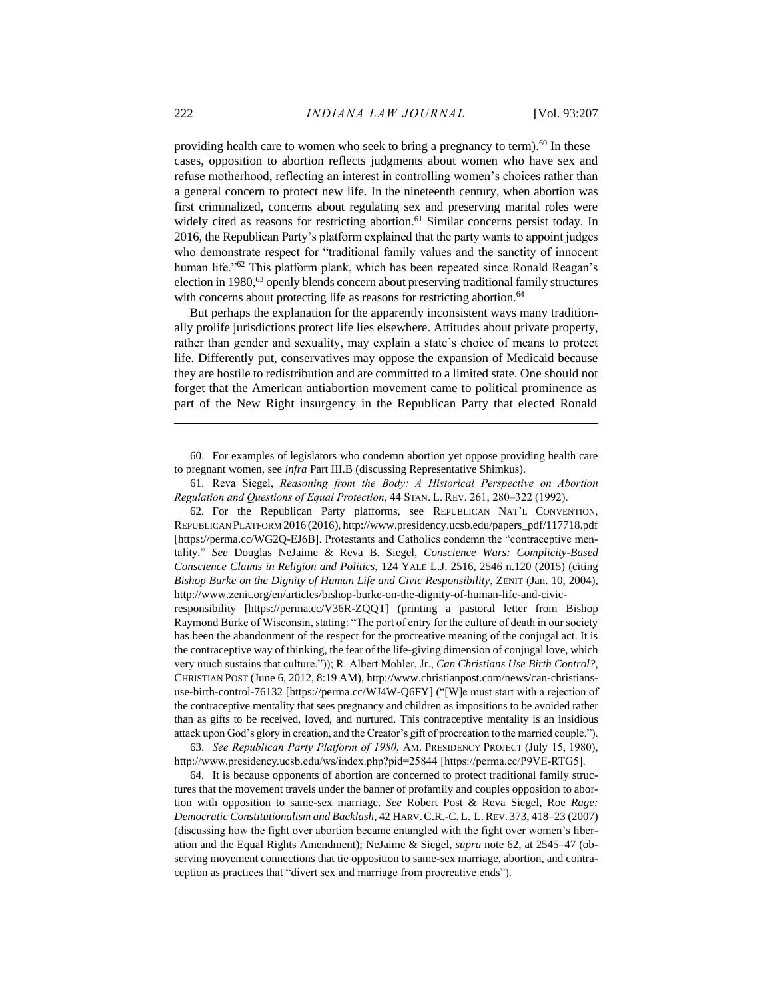providing health care to women who seek to bring a pregnancy to term).<sup>60</sup> In these cases, opposition to abortion reflects judgments about women who have sex and refuse motherhood, reflecting an interest in controlling women's choices rather than a general concern to protect new life. In the nineteenth century, when abortion was first criminalized, concerns about regulating sex and preserving marital roles were widely cited as reasons for restricting abortion.<sup>61</sup> Similar concerns persist today. In 2016, the Republican Party's platform explained that the party wants to appoint judges who demonstrate respect for "traditional family values and the sanctity of innocent human life."<sup>62</sup> This platform plank, which has been repeated since Ronald Reagan's election in 1980,<sup>63</sup> openly blends concern about preserving traditional family structures with concerns about protecting life as reasons for restricting abortion.<sup>64</sup>

<span id="page-16-0"></span>But perhaps the explanation for the apparently inconsistent ways many traditionally prolife jurisdictions protect life lies elsewhere. Attitudes about private property, rather than gender and sexuality, may explain a state's choice of means to protect life. Differently put, conservatives may oppose the expansion of Medicaid because they are hostile to redistribution and are committed to a limited state. One should not forget that the American antiabortion movement came to political prominence as part of the New Right insurgency in the Republican Party that elected Ronald

60. For examples of legislators who condemn abortion yet oppose providing health care to pregnant women, see *infra* Part III.B (discussing Representative Shimkus).

61. Reva Siegel, *Reasoning from the Body: A Historical Perspective on Abortion Regulation and Questions of Equal Protection*, 44 STAN. L. REV. 261, 280–322 (1992).

62. For the Republican Party platforms, see REPUBLICAN NAT'L CONVENTION, REPUBLICAN PLATFORM 2016 (2016), http://www.presidency.ucsb.edu/papers\_pdf/117718.pdf [https://perma.cc/WG2Q-EJ6B]. Protestants and Catholics condemn the "contraceptive mentality." *See* Douglas NeJaime & Reva B. Siegel, *Conscience Wars: Complicity-Based Conscience Claims in Religion and Politics*, 124 YALE L.J. 2516, 2546 n.120 (2015) (citing *Bishop Burke on the Dignity of Human Life and Civic Responsibility*, ZENIT (Jan. 10, 2004), http://www.zenit.org/en/articles/bishop-burke-on-the-dignity-of-human-life-and-civicresponsibility [https://perma.cc/V36R-ZQQT] (printing a pastoral letter from Bishop Raymond Burke of Wisconsin, stating: "The port of entry for the culture of death in our society has been the abandonment of the respect for the procreative meaning of the conjugal act. It is the contraceptive way of thinking, the fear of the life-giving dimension of conjugal love, which very much sustains that culture.")); R. Albert Mohler, Jr., *Can Christians Use Birth Control?*, CHRISTIAN POST (June 6, 2012, 8:19 AM), http://www.christianpost.com/news/can-christiansuse-birth-control-76132 [https://perma.cc/WJ4W-Q6FY] ("[W]e must start with a rejection of the contraceptive mentality that sees pregnancy and children as impositions to be avoided rather than as gifts to be received, loved, and nurtured. This contraceptive mentality is an insidious attack upon God's glory in creation, and the Creator's gift of procreation to the married couple.").

63. *See Republican Party Platform of 1980*, AM. PRESIDENCY PROJECT (July 15, 1980), http://www.presidency.ucsb.edu/ws/index.php?pid=25844 [https://perma.cc/P9VE-RTG5].

64. It is because opponents of abortion are concerned to protect traditional family structures that the movement travels under the banner of profamily and couples opposition to abortion with opposition to same-sex marriage. *See* Robert Post & Reva Siegel, Roe *Rage: Democratic Constitutionalism and Backlash*, 42 HARV.C.R.-C. L. L.REV. 373, 418–23 (2007) (discussing how the fight over abortion became entangled with the fight over women's liberation and the Equal Rights Amendment); NeJaime & Siegel, *supra* note [62,](#page-16-0) at 2545–47 (observing movement connections that tie opposition to same-sex marriage, abortion, and contraception as practices that "divert sex and marriage from procreative ends").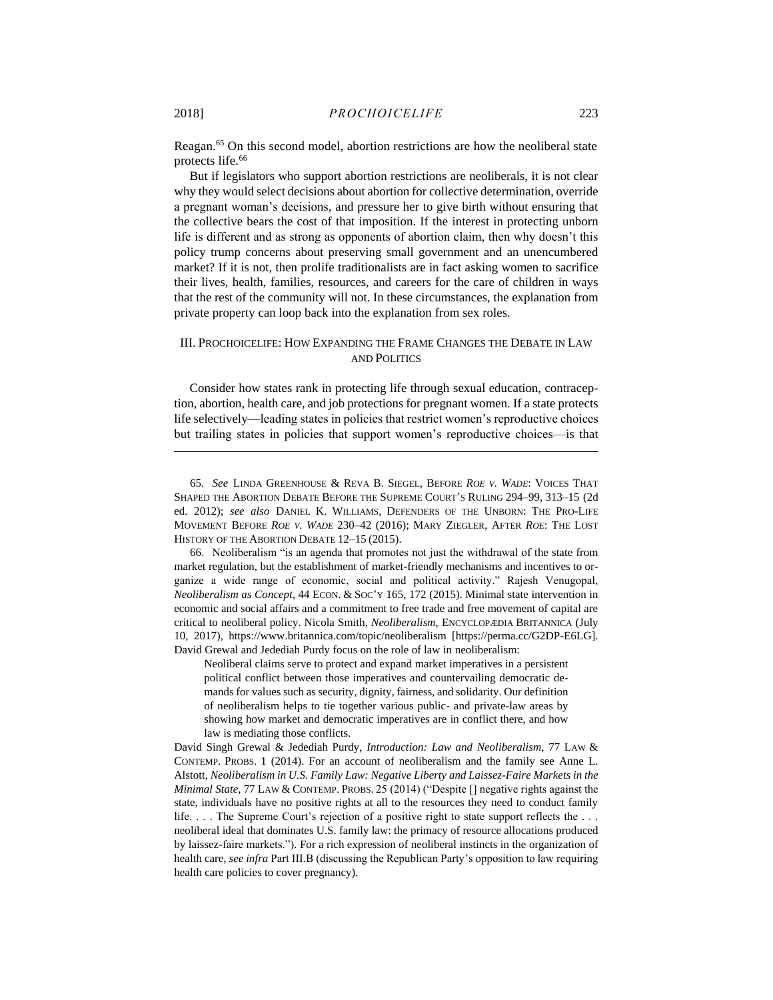Reagan.<sup>65</sup> On this second model, abortion restrictions are how the neoliberal state protects life.<sup>66</sup>

But if legislators who support abortion restrictions are neoliberals, it is not clear why they would select decisions about abortion for collective determination, override a pregnant woman's decisions, and pressure her to give birth without ensuring that the collective bears the cost of that imposition. If the interest in protecting unborn life is different and as strong as opponents of abortion claim, then why doesn't this policy trump concerns about preserving small government and an unencumbered market? If it is not, then prolife traditionalists are in fact asking women to sacrifice their lives, health, families, resources, and careers for the care of children in ways that the rest of the community will not. In these circumstances, the explanation from private property can loop back into the explanation from sex roles.

### III. PROCHOICELIFE: HOW EXPANDING THE FRAME CHANGES THE DEBATE IN LAW AND POLITICS

Consider how states rank in protecting life through sexual education, contraception, abortion, health care, and job protections for pregnant women. If a state protects life selectively—leading states in policies that restrict women's reproductive choices but trailing states in policies that support women's reproductive choices—is that

66. Neoliberalism "is an agenda that promotes not just the withdrawal of the state from market regulation, but the establishment of market-friendly mechanisms and incentives to organize a wide range of economic, social and political activity." Rajesh Venugopal, *Neoliberalism as Concept*, 44 ECON. & SOC'Y 165, 172 (2015). Minimal state intervention in economic and social affairs and a commitment to free trade and free movement of capital are critical to neoliberal policy. Nicola Smith, *Neoliberalism*, ENCYCLOPÆDIA BRITANNICA (July 10, 2017), https://www.britannica.com/topic/neoliberalism [https://perma.cc/G2DP-E6LG]. David Grewal and Jedediah Purdy focus on the role of law in neoliberalism:

Neoliberal claims serve to protect and expand market imperatives in a persistent political conflict between those imperatives and countervailing democratic demands for values such as security, dignity, fairness, and solidarity. Our definition of neoliberalism helps to tie together various public- and private-law areas by showing how market and democratic imperatives are in conflict there, and how law is mediating those conflicts.

David Singh Grewal & Jedediah Purdy, *Introduction: Law and Neoliberalism*, 77 LAW & CONTEMP. PROBS. 1 (2014). For an account of neoliberalism and the family see Anne L. Alstott, *Neoliberalism in U.S. Family Law: Negative Liberty and Laissez-Faire Markets in the Minimal State*, 77 LAW & CONTEMP. PROBS. 25 (2014) ("Despite [] negative rights against the state, individuals have no positive rights at all to the resources they need to conduct family life. . . . The Supreme Court's rejection of a positive right to state support reflects the . . . neoliberal ideal that dominates U.S. family law: the primacy of resource allocations produced by laissez-faire markets."). For a rich expression of neoliberal instincts in the organization of health care, *see infra* Part III.B (discussing the Republican Party's opposition to law requiring health care policies to cover pregnancy).

<sup>65.</sup> *See* LINDA GREENHOUSE & REVA B. SIEGEL, BEFORE *ROE V. WADE*: VOICES THAT SHAPED THE ABORTION DEBATE BEFORE THE SUPREME COURT'S RULING 294–99, 313–15 (2d ed. 2012); *see also* DANIEL K. WILLIAMS, DEFENDERS OF THE UNBORN: THE PRO-LIFE MOVEMENT BEFORE *ROE V. WADE* 230–42 (2016); MARY ZIEGLER, AFTER *ROE*: THE LOST HISTORY OF THE ABORTION DEBATE 12–15 (2015).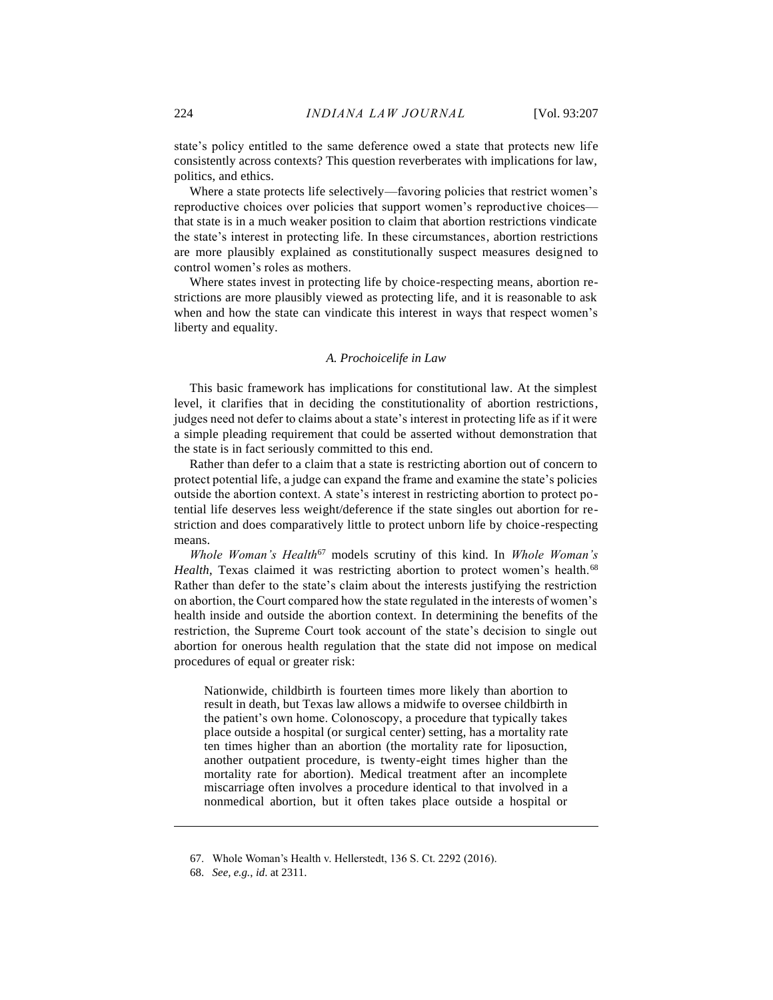state's policy entitled to the same deference owed a state that protects new life consistently across contexts? This question reverberates with implications for law, politics, and ethics.

Where a state protects life selectively—favoring policies that restrict women's reproductive choices over policies that support women's reproductive choices that state is in a much weaker position to claim that abortion restrictions vindicate the state's interest in protecting life. In these circumstances, abortion restrictions are more plausibly explained as constitutionally suspect measures designed to control women's roles as mothers.

Where states invest in protecting life by choice-respecting means, abortion restrictions are more plausibly viewed as protecting life, and it is reasonable to ask when and how the state can vindicate this interest in ways that respect women's liberty and equality.

#### *A. Prochoicelife in Law*

This basic framework has implications for constitutional law. At the simplest level, it clarifies that in deciding the constitutionality of abortion restrictions, judges need not defer to claims about a state's interest in protecting life as if it were a simple pleading requirement that could be asserted without demonstration that the state is in fact seriously committed to this end.

Rather than defer to a claim that a state is restricting abortion out of concern to protect potential life, a judge can expand the frame and examine the state's policies outside the abortion context. A state's interest in restricting abortion to protect potential life deserves less weight/deference if the state singles out abortion for restriction and does comparatively little to protect unborn life by choice-respecting means.

*Whole Woman's Health*<sup>67</sup> models scrutiny of this kind. In *Whole Woman's Health*, Texas claimed it was restricting abortion to protect women's health.<sup>68</sup> Rather than defer to the state's claim about the interests justifying the restriction on abortion, the Court compared how the state regulated in the interests of women's health inside and outside the abortion context. In determining the benefits of the restriction, the Supreme Court took account of the state's decision to single out abortion for onerous health regulation that the state did not impose on medical procedures of equal or greater risk:

Nationwide, childbirth is fourteen times more likely than abortion to result in death, but Texas law allows a midwife to oversee childbirth in the patient's own home. Colonoscopy, a procedure that typically takes place outside a hospital (or surgical center) setting, has a mortality rate ten times higher than an abortion (the mortality rate for liposuction, another outpatient procedure, is twenty-eight times higher than the mortality rate for abortion). Medical treatment after an incomplete miscarriage often involves a procedure identical to that involved in a nonmedical abortion, but it often takes place outside a hospital or

<sup>67.</sup> Whole Woman's Health v. Hellerstedt, 136 S. Ct. 2292 (2016).

<sup>68.</sup> *See, e.g.*, *id*. at 2311.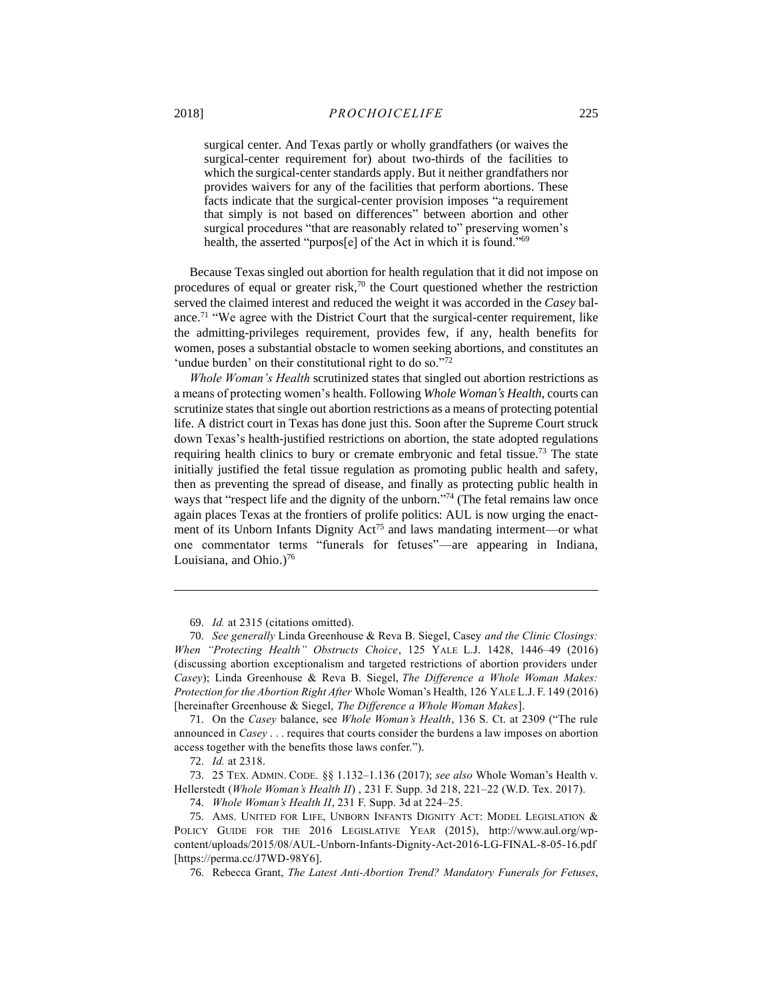surgical center. And Texas partly or wholly grandfathers (or waives the surgical-center requirement for) about two-thirds of the facilities to which the surgical-center standards apply. But it neither grandfathers nor provides waivers for any of the facilities that perform abortions. These facts indicate that the surgical-center provision imposes "a requirement that simply is not based on differences" between abortion and other surgical procedures "that are reasonably related to" preserving women's health, the asserted "purpos<sup>[e]</sup> of the Act in which it is found."<sup>69</sup>

<span id="page-19-0"></span>Because Texas singled out abortion for health regulation that it did not impose on procedures of equal or greater risk, $70$  the Court questioned whether the restriction served the claimed interest and reduced the weight it was accorded in the *Casey* balance.<sup>71</sup> "We agree with the District Court that the surgical-center requirement, like the admitting-privileges requirement, provides few, if any, health benefits for women, poses a substantial obstacle to women seeking abortions, and constitutes an 'undue burden' on their constitutional right to do so."72

*Whole Woman's Health* scrutinized states that singled out abortion restrictions as a means of protecting women's health. Following *Whole Woman's Health*, courts can scrutinize states that single out abortion restrictions as a means of protecting potential life. A district court in Texas has done just this. Soon after the Supreme Court struck down Texas's health-justified restrictions on abortion, the state adopted regulations requiring health clinics to bury or cremate embryonic and fetal tissue.<sup>73</sup> The state initially justified the fetal tissue regulation as promoting public health and safety, then as preventing the spread of disease, and finally as protecting public health in ways that "respect life and the dignity of the unborn."<sup>74</sup> (The fetal remains law once again places Texas at the frontiers of prolife politics: AUL is now urging the enactment of its Unborn Infants Dignity  $Act^{75}$  and laws mandating interment—or what one commentator terms "funerals for fetuses"—are appearing in Indiana, Louisiana, and Ohio.)<sup>76</sup>

71. On the *Casey* balance, see *Whole Woman's Health*, 136 S. Ct. at 2309 ("The rule announced in *Casey* . . . requires that courts consider the burdens a law imposes on abortion access together with the benefits those laws confer.").

72. *Id.* at 2318.

 $\overline{a}$ 

73. 25 TEX. ADMIN. CODE. [§§ 1.132–](https://1.next.westlaw.com/Link/Document/FullText?findType=L&pubNum=1000374&cite=25TXADCS1.132&originatingDoc=I5dc6d000eaa611e6b79af578703ae98c&refType=LQ&originationContext=document&transitionType=DocumentItem&contextData=(sc.Search))[1.136](https://1.next.westlaw.com/Link/Document/FullText?findType=L&pubNum=1000374&cite=25TXADCS1.136&originatingDoc=I5dc6d000eaa611e6b79af578703ae98c&refType=LQ&originationContext=document&transitionType=DocumentItem&contextData=(sc.Search)) (2017); *see also* Whole Woman's Health v. Hellerstedt (*Whole Woman's Health II*) , 231 F. Supp. 3d 218, 221–22 (W.D. Tex. 2017).

74. *Whole Woman's Health II*, 231 F. Supp. 3d at 224–25.

<sup>69.</sup> *Id.* at 2315 (citations omitted).

<sup>70.</sup> *See generally* Linda Greenhouse & Reva B. Siegel, Casey *and the Clinic Closings: When "Protecting Health" Obstructs Choice*, 125 YALE L.J. 1428, 1446–49 (2016) (discussing abortion exceptionalism and targeted restrictions of abortion providers under *Casey*); Linda Greenhouse & Reva B. Siegel, *The Difference a Whole Woman Makes: Protection for the Abortion Right After* Whole Woman's Health, 126 YALE L.J. F. 149 (2016) [hereinafter Greenhouse & Siegel, *The Difference a Whole Woman Makes*].

<sup>75.</sup> AMS. UNITED FOR LIFE, UNBORN INFANTS DIGNITY ACT: MODEL LEGISLATION & POLICY GUIDE FOR THE 2016 LEGISLATIVE YEAR (2015), http://www.aul.org/wpcontent/uploads/2015/08/AUL-Unborn-Infants-Dignity-Act-2016-LG-FINAL-8-05-16.pdf [https://perma.cc/J7WD-98Y6].

<sup>76.</sup> Rebecca Grant, *The Latest Anti-Abortion Trend? Mandatory Funerals for Fetuses*,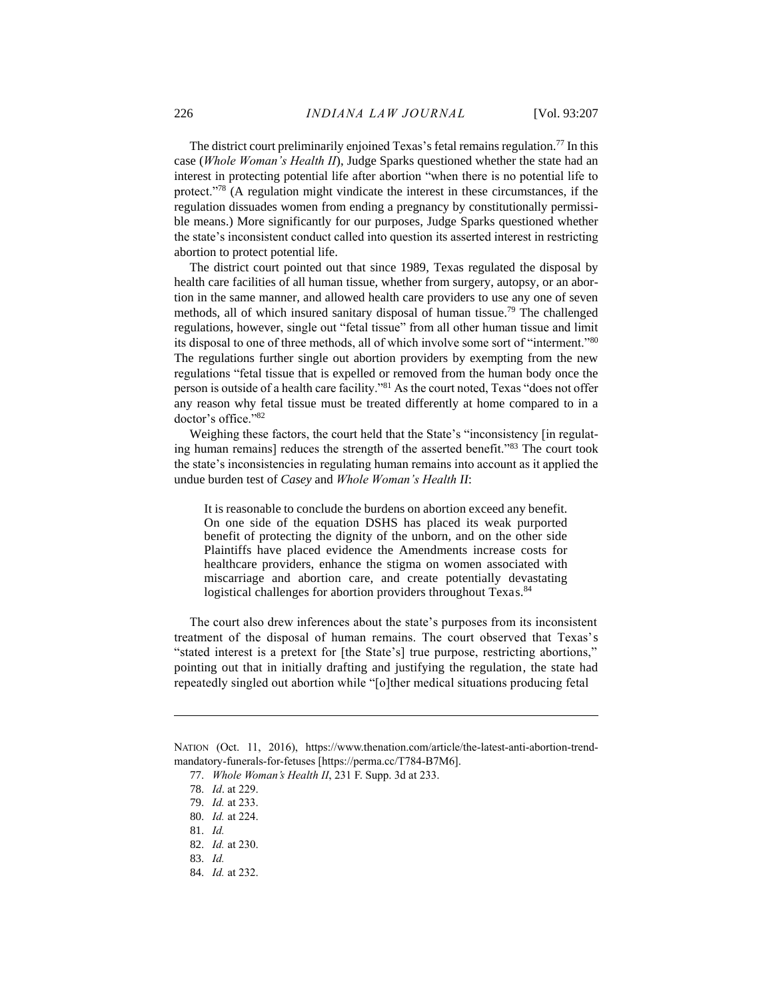The district court preliminarily enjoined Texas's fetal remains regulation.<sup>77</sup> In this case (*Whole Woman's Health II*), Judge Sparks questioned whether the state had an interest in protecting potential life after abortion "when there is no potential life to protect."<sup>78</sup> (A regulation might vindicate the interest in these circumstances, if the regulation dissuades women from ending a pregnancy by constitutionally permissible means.) More significantly for our purposes, Judge Sparks questioned whether the state's inconsistent conduct called into question its asserted interest in restricting abortion to protect potential life.

The district court pointed out that since 1989, Texas regulated the disposal by health care facilities of all human tissue, whether from surgery, autopsy, or an abortion in the same manner, and allowed health care providers to use any one of seven methods, all of which insured sanitary disposal of human tissue.<sup>79</sup> The challenged regulations, however, single out "fetal tissue" from all other human tissue and limit its disposal to one of three methods, all of which involve some sort of "interment."<sup>80</sup> The regulations further single out abortion providers by exempting from the new regulations "fetal tissue that is expelled or removed from the human body once the person is outside of a health care facility."<sup>81</sup> As the court noted, Texas "does not offer any reason why fetal tissue must be treated differently at home compared to in a doctor's office."<sup>82</sup>

Weighing these factors, the court held that the State's "inconsistency [in regulating human remains] reduces the strength of the asserted benefit."<sup>83</sup> The court took the state's inconsistencies in regulating human remains into account as it applied the undue burden test of *Casey* and *Whole Woman's Health II*:

It is reasonable to conclude the burdens on abortion exceed any benefit. On one side of the equation DSHS has placed its weak purported benefit of protecting the dignity of the unborn, and on the other side Plaintiffs have placed evidence the Amendments increase costs for healthcare providers, enhance the stigma on women associated with miscarriage and abortion care, and create potentially devastating logistical challenges for abortion providers throughout Texas.<sup>84</sup>

The court also drew inferences about the state's purposes from its inconsistent treatment of the disposal of human remains. The court observed that Texas's "stated interest is a pretext for [the State's] true purpose, restricting abortions," pointing out that in initially drafting and justifying the regulation, the state had repeatedly singled out abortion while "[o]ther medical situations producing fetal

NATION (Oct. 11, 2016), https://www.thenation.com/article/the-latest-anti-abortion-trendmandatory-funerals-for-fetuses [https://perma.cc/T784-B7M6].

<sup>77.</sup> *Whole Woman's Health II*, 231 F. Supp. 3d at 233.

<sup>78.</sup> *Id*. at 229.

<sup>79.</sup> *Id.* at 233.

<sup>80.</sup> *Id.* at 224.

<sup>81.</sup> *Id.*

<sup>82.</sup> *Id.* at 230.

<sup>83.</sup> *Id.*

<sup>84.</sup> *Id.* at 232.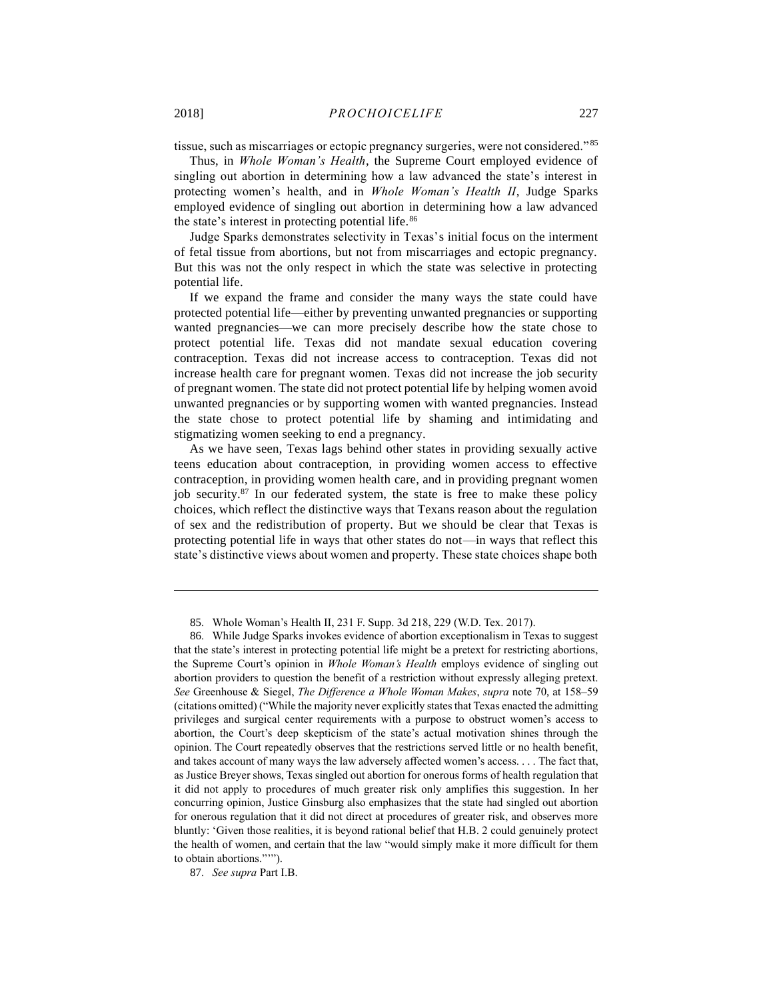$\overline{a}$ 

tissue, such as miscarriages or ectopic pregnancy surgeries, were not considered."85

Thus, in *Whole Woman's Health*, the Supreme Court employed evidence of singling out abortion in determining how a law advanced the state's interest in protecting women's health, and in *Whole Woman's Health II*, Judge Sparks employed evidence of singling out abortion in determining how a law advanced the state's interest in protecting potential life.<sup>86</sup>

Judge Sparks demonstrates selectivity in Texas's initial focus on the interment of fetal tissue from abortions, but not from miscarriages and ectopic pregnancy. But this was not the only respect in which the state was selective in protecting potential life.

If we expand the frame and consider the many ways the state could have protected potential life—either by preventing unwanted pregnancies or supporting wanted pregnancies—we can more precisely describe how the state chose to protect potential life. Texas did not mandate sexual education covering contraception. Texas did not increase access to contraception. Texas did not increase health care for pregnant women. Texas did not increase the job security of pregnant women. The state did not protect potential life by helping women avoid unwanted pregnancies or by supporting women with wanted pregnancies. Instead the state chose to protect potential life by shaming and intimidating and stigmatizing women seeking to end a pregnancy.

As we have seen, Texas lags behind other states in providing sexually active teens education about contraception, in providing women access to effective contraception, in providing women health care, and in providing pregnant women job security.<sup>87</sup> In our federated system, the state is free to make these policy choices, which reflect the distinctive ways that Texans reason about the regulation of sex and the redistribution of property. But we should be clear that Texas is protecting potential life in ways that other states do not—in ways that reflect this state's distinctive views about women and property. These state choices shape both

85. Whole Woman's Health II, 231 F. Supp. 3d 218, 229 (W.D. Tex. 2017).

87. *See supra* Part I.B.

<sup>86.</sup> While Judge Sparks invokes evidence of abortion exceptionalism in Texas to suggest that the state's interest in protecting potential life might be a pretext for restricting abortions, the Supreme Court's opinion in *Whole Woman's Health* employs evidence of singling out abortion providers to question the benefit of a restriction without expressly alleging pretext. *See* Greenhouse & Siegel, *The Difference a Whole Woman Makes*, *supra* note [70,](#page-19-0) at 158–59 (citations omitted) ("While the majority never explicitly states that Texas enacted the admitting privileges and surgical center requirements with a purpose to obstruct women's access to abortion, the Court's deep skepticism of the state's actual motivation shines through the opinion. The Court repeatedly observes that the restrictions served little or no health benefit, and takes account of many ways the law adversely affected women's access. . . . The fact that, as Justice Breyer shows, Texas singled out abortion for onerous forms of health regulation that it did not apply to procedures of much greater risk only amplifies this suggestion. In her concurring opinion, Justice Ginsburg also emphasizes that the state had singled out abortion for onerous regulation that it did not direct at procedures of greater risk, and observes more bluntly: 'Given those realities, it is beyond rational belief that H.B. 2 could genuinely protect the health of women, and certain that the law "would simply make it more difficult for them to obtain abortions."'").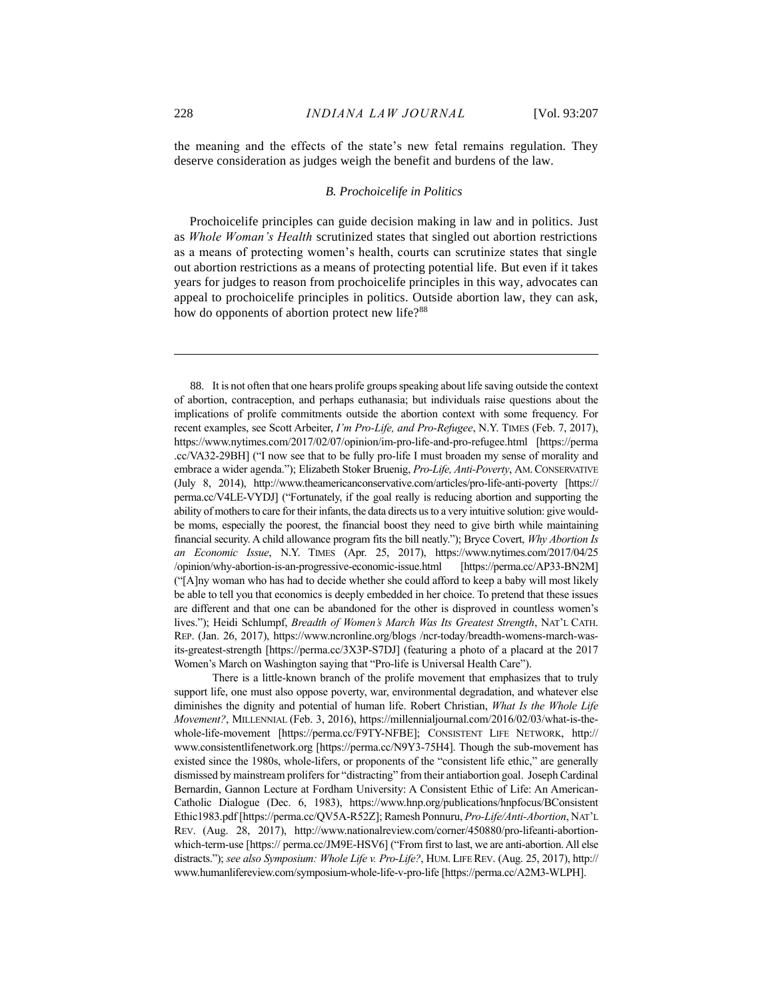the meaning and the effects of the state's new fetal remains regulation. They deserve consideration as judges weigh the benefit and burdens of the law.

#### <span id="page-22-0"></span>*B. Prochoicelife in Politics*

Prochoicelife principles can guide decision making in law and in politics. Just as *Whole Woman's Health* scrutinized states that singled out abortion restrictions as a means of protecting women's health, courts can scrutinize states that single out abortion restrictions as a means of protecting potential life. But even if it takes years for judges to reason from prochoicelife principles in this way, advocates can appeal to prochoicelife principles in politics. Outside abortion law, they can ask, how do opponents of abortion protect new life?<sup>88</sup>

<sup>88.</sup> It is not often that one hears prolife groups speaking about life saving outside the context of abortion, contraception, and perhaps euthanasia; but individuals raise questions about the implications of prolife commitments outside the abortion context with some frequency. For recent examples, see Scott Arbeiter, *I'm Pro-Life, and Pro-Refugee*, N.Y. TIMES (Feb. 7, 2017), https://www.nytimes.com/2017/02/07/opinion/im-pro-life-and-pro-refugee.html [https://perma .cc/VA32-29BH] ("I now see that to be fully pro-life I must broaden my sense of morality and embrace a wider agenda."); Elizabeth Stoker Bruenig, *Pro-Life, Anti-Poverty*, AM.CONSERVATIVE (July 8, 2014), http://www.theamericanconservative.com/articles/pro-life-anti-poverty [https:// perma.cc/V4LE-VYDJ] ("Fortunately, if the goal really is reducing abortion and supporting the ability of mothers to care for their infants, the data directs us to a very intuitive solution: give wouldbe moms, especially the poorest, the financial boost they need to give birth while maintaining financial security. A child allowance program fits the bill neatly."); Bryce Covert, *Why Abortion Is an Economic Issue*, N.Y. TIMES (Apr. 25, 2017), https://www.nytimes.com/2017/04/25 /opinion/why-abortion-is-an-progressive-economic-issue.html [https://perma.cc/AP33-BN2M] ("[A]ny woman who has had to decide whether she could afford to keep a baby will most likely be able to tell you that economics is deeply embedded in her choice. To pretend that these issues are different and that one can be abandoned for the other is disproved in countless women's lives."); Heidi Schlumpf, *Breadth of Women's March Was Its Greatest Strength*, NAT'L CATH. REP. (Jan. 26, 2017), https://www.ncronline.org/blogs /ncr-today/breadth-womens-march-wasits-greatest-strength [https://perma.cc/3X3P-S7DJ] (featuring a photo of a placard at the 2017 Women's March on Washington saying that "Pro-life is Universal Health Care").

There is a little-known branch of the prolife movement that emphasizes that to truly support life, one must also oppose poverty, war, environmental degradation, and whatever else diminishes the dignity and potential of human life. Robert Christian, *What Is the Whole Life Movement?*, MILLENNIAL (Feb. 3, 2016), https://millennialjournal.com/2016/02/03/what-is-thewhole-life-movement [https://perma.cc/F9TY-NFBE]; CONSISTENT LIFE NETWORK, http:// www.consistentlifenetwork.org [https://perma.cc/N9Y3-75H4]. Though the sub-movement has existed since the 1980s, whole-lifers, or proponents of the "consistent life ethic," are generally dismissed by mainstream prolifers for "distracting" from their antiabortion goal. Joseph Cardinal Bernardin, Gannon Lecture at Fordham University: A Consistent Ethic of Life: An American-Catholic Dialogue (Dec. 6, 1983), https://www.hnp.org/publications/hnpfocus/BConsistent Ethic1983.pdf [https://perma.cc/QV5A-R52Z]; Ramesh Ponnuru, *Pro-Life/Anti-Abortion*, NAT'L REV. (Aug. 28, 2017), http://www.nationalreview.com/corner/450880/pro-lifeanti-abortionwhich-term-use [https:// perma.cc/JM9E-HSV6] ("From first to last, we are anti-abortion. All else distracts."); *see also Symposium: Whole Life v. Pro-Life?*, HUM. LIFE REV. (Aug. 25, 2017), http:// www.humanlifereview.com/symposium-whole-life-v-pro-life [https://perma.cc/A2M3-WLPH].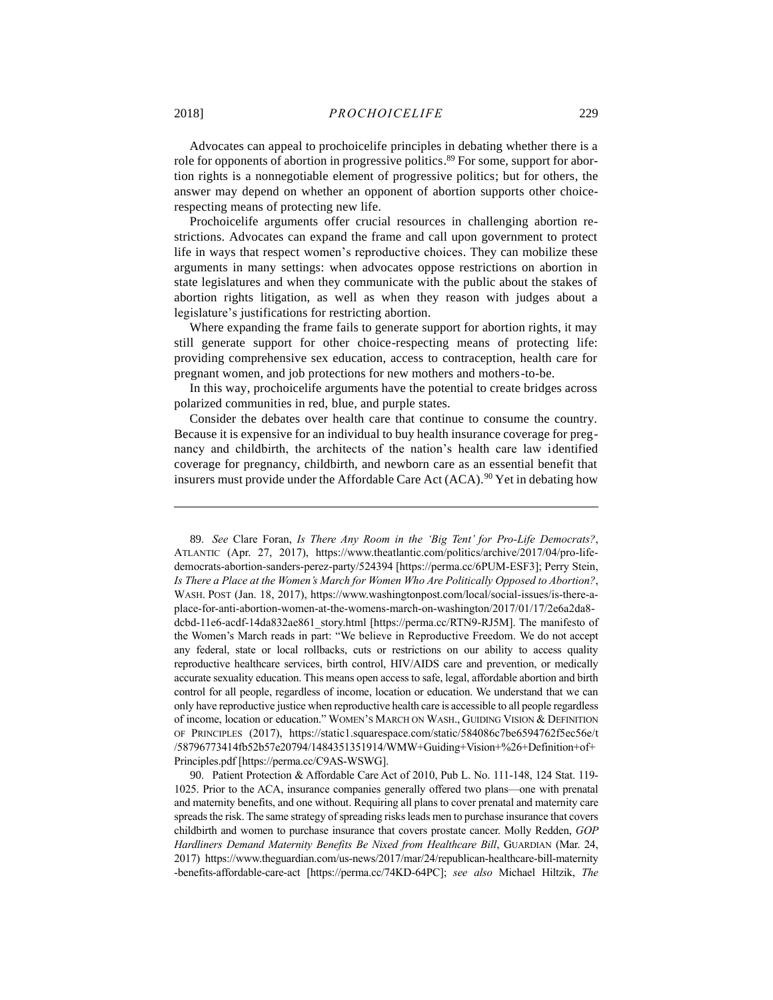Advocates can appeal to prochoicelife principles in debating whether there is a role for opponents of abortion in progressive politics.<sup>89</sup> For some, support for abortion rights is a nonnegotiable element of progressive politics; but for others, the answer may depend on whether an opponent of abortion supports other choicerespecting means of protecting new life.

Prochoicelife arguments offer crucial resources in challenging abortion restrictions. Advocates can expand the frame and call upon government to protect life in ways that respect women's reproductive choices. They can mobilize these arguments in many settings: when advocates oppose restrictions on abortion in state legislatures and when they communicate with the public about the stakes of abortion rights litigation, as well as when they reason with judges about a legislature's justifications for restricting abortion.

Where expanding the frame fails to generate support for abortion rights, it may still generate support for other choice-respecting means of protecting life: providing comprehensive sex education, access to contraception, health care for pregnant women, and job protections for new mothers and mothers-to-be.

In this way, prochoicelife arguments have the potential to create bridges across polarized communities in red, blue, and purple states.

<span id="page-23-0"></span>Consider the debates over health care that continue to consume the country. Because it is expensive for an individual to buy health insurance coverage for pregnancy and childbirth, the architects of the nation's health care law identified coverage for pregnancy, childbirth, and newborn care as an essential benefit that insurers must provide under the Affordable Care Act  $(ACA)$ . <sup>90</sup> Yet in debating how

<sup>89.</sup> *See* Clare Foran, *Is There Any Room in the 'Big Tent' for Pro-Life Democrats?*, ATLANTIC (Apr. 27, 2017), https://www.theatlantic.com/politics/archive/2017/04/pro-lifedemocrats-abortion-sanders-perez-party/524394 [https://perma.cc/6PUM-ESF3]; Perry Stein, *Is There a Place at the Women's March for Women Who Are Politically Opposed to Abortion?*, WASH. POST (Jan. 18, 2017), https://www.washingtonpost.com/local/social-issues/is-there-aplace-for-anti-abortion-women-at-the-womens-march-on-washington/2017/01/17/2e6a2da8 dcbd-11e6-acdf-14da832ae861\_story.html [https://perma.cc/RTN9-RJ5M]. The manifesto of the Women's March reads in part: "We believe in Reproductive Freedom. We do not accept any federal, state or local rollbacks, cuts or restrictions on our ability to access quality reproductive healthcare services, birth control, HIV/AIDS care and prevention, or medically accurate sexuality education. This means open access to safe, legal, affordable abortion and birth control for all people, regardless of income, location or education. We understand that we can only have reproductive justice when reproductive health care is accessible to all people regardless of income, location or education." WOMEN'S MARCH ON WASH., GUIDING VISION & DEFINITION OF PRINCIPLES (2017), https://static1.squarespace.com/static/584086c7be6594762f5ec56e/t /58796773414fb52b57e20794/1484351351914/WMW+Guiding+Vision+%26+Definition+of+ Principles.pdf [https://perma.cc/C9AS-WSWG].

<sup>90.</sup> Patient Protection & Affordable Care Act of 2010, Pub L. No. 111-148, 124 Stat. 119- 1025. Prior to the ACA, insurance companies generally offered two plans—one with prenatal and maternity benefits, and one without. Requiring all plans to cover prenatal and maternity care spreads the risk. The same strategy of spreading risks leads men to purchase insurance that covers childbirth and women to purchase insurance that covers prostate cancer. Molly Redden, *GOP Hardliners Demand Maternity Benefits Be Nixed from Healthcare Bill*, GUARDIAN (Mar. 24, 2017) https://www.theguardian.com/us-news/2017/mar/24/republican-healthcare-bill-maternity -benefits-affordable-care-act [https://perma.cc/74KD-64PC]; *see also* Michael Hiltzik, *The*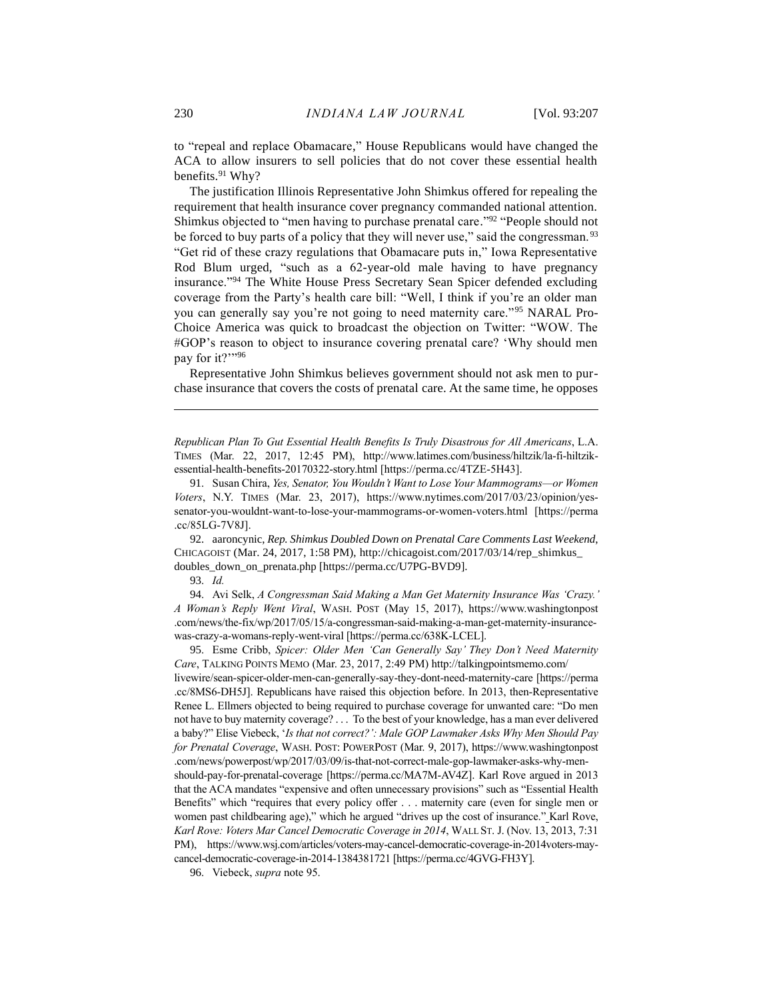to "repeal and replace Obamacare," House Republicans would have changed the ACA to allow insurers to sell policies that do not cover these essential health benefits.<sup>91</sup> Why?

The justification Illinois Representative John Shimkus offered for repealing the requirement that health insurance cover pregnancy commanded national attention. Shimkus objected to "men having to purchase prenatal care."<sup>92</sup> "People should not be forced to buy parts of a policy that they will never use," said the congressman.<sup>93</sup> "Get rid of these crazy regulations that Obamacare puts in," Iowa Representative Rod Blum urged, "such as a 62-year-old male having to have pregnancy insurance."<sup>94</sup> The White House Press Secretary Sean Spicer defended excluding coverage from the Party's health care bill: "Well, I think if you're an older man you can generally say you're not going to need maternity care."<sup>95</sup> NARAL Pro-Choice America was quick to broadcast the objection on Twitter: "WOW. The #GOP's reason to object to insurance covering prenatal care? 'Why should men pay for it?""96

<span id="page-24-0"></span>Representative John Shimkus believes government should not ask men to purchase insurance that covers the costs of prenatal care. At the same time, he opposes

*Republican Plan To Gut Essential Health Benefits Is Truly Disastrous for All Americans*, L.A. TIMES (Mar. 22, 2017, 12:45 PM), http://www.latimes.com/business/hiltzik/la-fi-hiltzikessential-health-benefits-20170322-story.html [https://perma.cc/4TZE-5H43].

92. aaroncynic, *Rep. Shimkus Doubled Down on Prenatal Care Comments Last Weekend*, CHICAGOIST (Mar. 24, 2017, 1:58 PM), http://chicagoist.com/2017/03/14/rep\_shimkus\_ doubles down on prenata.php [https://perma.cc/U7PG-BVD9].

93. *Id.*

 $\overline{a}$ 

94. Avi Selk, *A Congressman Said Making a Man Get Maternity Insurance Was 'Crazy.' A Woman's Reply Went Viral*, WASH. POST (May 15, 2017), https://www.washingtonpost .com/news/the-fix/wp/2017/05/15/a-congressman-said-making-a-man-get-maternity-insurancewas-crazy-a-womans-reply-went-viral [https://perma.cc/638K-LCEL].

95. Esme Cribb, *Spicer: Older Men 'Can Generally Say' They Don't Need Maternity Care*, TALKING POINTS MEMO (Mar. 23, 2017, 2:49 PM) http://talkingpointsmemo.com/ livewire/sean-spicer-older-men-can-generally-say-they-dont-need-maternity-care [https://perma .cc/8MS6-DH5J]. Republicans have raised this objection before. In 2013, then-Representative Renee L. Ellmers objected to being required to purchase coverage for unwanted care: "Do men not have to buy maternity coverage? . . . To the best of your knowledge, has a man ever delivered a baby?" Elise Viebeck, '*Is that not correct?': Male GOP Lawmaker Asks Why Men Should Pay for Prenatal Coverage*, WASH. POST: POWERPOST (Mar. 9, 2017), https://www.washingtonpost .com/news/powerpost/wp/2017/03/09/is-that-not-correct-male-gop-lawmaker-asks-why-menshould-pay-for-prenatal-coverage [https://perma.cc/MA7M-AV4Z]. Karl Rove argued in 2013 that the ACA mandates "expensive and often unnecessary provisions" such as "Essential Health Benefits" which "requires that every policy offer . . . maternity care (even for single men or women past childbearing age)," which he argued "drives up the cost of insurance." Karl Rove, *Karl Rove: Voters Mar Cancel Democratic Coverage in 2014*, WALL ST. J. (Nov. 13, 2013, 7:31 PM), https://www.wsj.com/articles/voters-may-cancel-democratic-coverage-in-2014voters-maycancel-democratic-coverage-in-2014-1384381721 [https://perma.cc/4GVG-FH3Y].

96. Viebeck, *supra* not[e 95.](#page-24-0)

<sup>91.</sup> Susan Chira, *Yes, Senator, You Wouldn't Want to Lose Your Mammograms—or Women Voters*, N.Y. TIMES (Mar. 23, 2017), https://www.nytimes.com/2017/03/23/opinion/yessenator-you-wouldnt-want-to-lose-your-mammograms-or-women-voters.html [https://perma .cc/85LG-7V8J].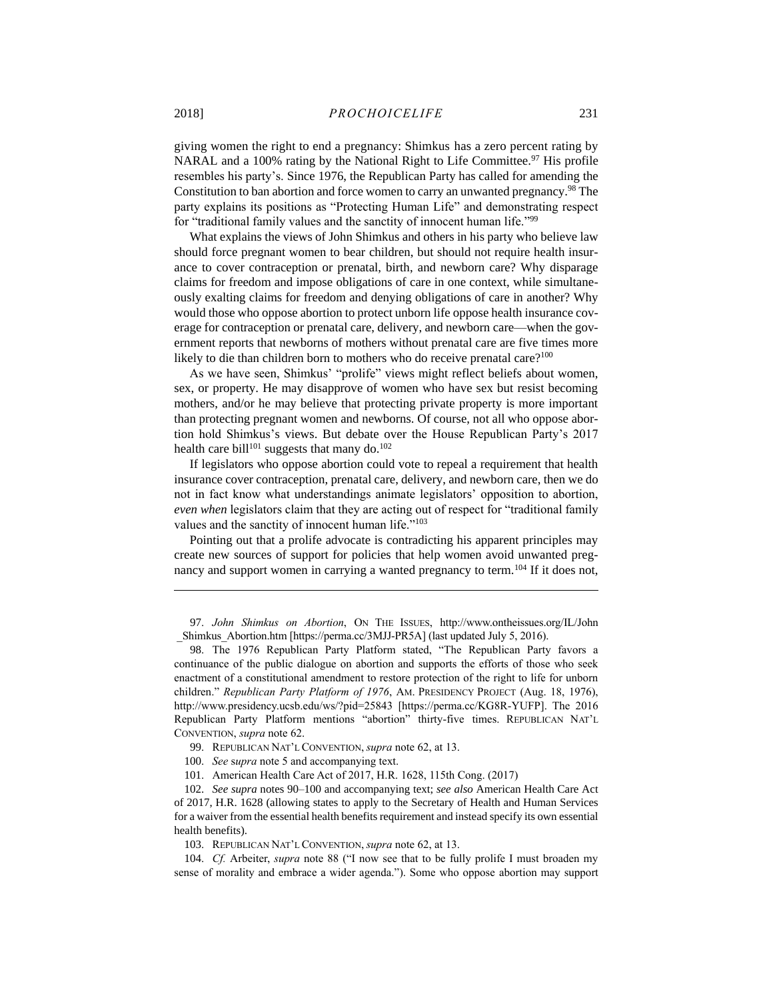giving women the right to end a pregnancy: Shimkus has a zero percent rating by NARAL and a 100% rating by the National Right to Life Committee.<sup>97</sup> His profile resembles his party's. Since 1976, the Republican Party has called for amending the Constitution to ban abortion and force women to carry an unwanted pregnancy.<sup>98</sup> The party explains its positions as "Protecting Human Life" and demonstrating respect for "traditional family values and the sanctity of innocent human life."<sup>99</sup>

What explains the views of John Shimkus and others in his party who believe law should force pregnant women to bear children, but should not require health insurance to cover contraception or prenatal, birth, and newborn care? Why disparage claims for freedom and impose obligations of care in one context, while simultaneously exalting claims for freedom and denying obligations of care in another? Why would those who oppose abortion to protect unborn life oppose health insurance coverage for contraception or prenatal care, delivery, and newborn care—when the government reports that newborns of mothers without prenatal care are five times more likely to die than children born to mothers who do receive prenatal care?<sup>100</sup>

<span id="page-25-0"></span>As we have seen, Shimkus' "prolife" views might reflect beliefs about women, sex, or property. He may disapprove of women who have sex but resist becoming mothers, and/or he may believe that protecting private property is more important than protecting pregnant women and newborns. Of course, not all who oppose abortion hold Shimkus's views. But debate over the House Republican Party's 2017 health care bill<sup>101</sup> suggests that many do.<sup>102</sup>

If legislators who oppose abortion could vote to repeal a requirement that health insurance cover contraception, prenatal care, delivery, and newborn care, then we do not in fact know what understandings animate legislators' opposition to abortion, *even when* legislators claim that they are acting out of respect for "traditional family values and the sanctity of innocent human life."<sup>103</sup>

Pointing out that a prolife advocate is contradicting his apparent principles may create new sources of support for policies that help women avoid unwanted pregnancy and support women in carrying a wanted pregnancy to term.<sup>104</sup> If it does not,

97. *John Shimkus on Abortion*, ON THE ISSUES, http://www.ontheissues.org/IL/John \_Shimkus\_Abortion.htm [https://perma.cc/3MJJ-PR5A] (last updated July 5, 2016).

98. The 1976 Republican Party Platform stated, "The Republican Party favors a continuance of the public dialogue on abortion and supports the efforts of those who seek enactment of a constitutional amendment to restore protection of the right to life for unborn children." *Republican Party Platform of 1976*, AM. PRESIDENCY PROJECT (Aug. 18, 1976), http://www.presidency.ucsb.edu/ws/?pid=25843 [https://perma.cc/KG8R-YUFP]. The 2016 Republican Party Platform mentions "abortion" thirty-five times. REPUBLICAN NAT'L CONVENTION, *supra* note [62.](#page-16-0)

- 99. REPUBLICAN NAT'L CONVENTION, *supra* note [62,](#page-16-0) at 13.
- 100. *See* s*upra* not[e 5](#page-2-2) and accompanying text.
- 101. American Health Care Act of 2017, H.R. 1628, 115th Cong. (2017)

102. *See supra* note[s 90–](#page-23-0)[100](#page-25-0) and accompanying text; *see also* American Health Care Act of 2017, H.R. 1628 (allowing states to apply to the Secretary of Health and Human Services for a waiver from the essential health benefits requirement and instead specify its own essential health benefits).

103. REPUBLICAN NAT'L CONVENTION, *supra* note [62,](#page-16-0) at 13.

104. *Cf.* Arbeiter, *supra* note [88](#page-22-0) ("I now see that to be fully prolife I must broaden my sense of morality and embrace a wider agenda."). Some who oppose abortion may support